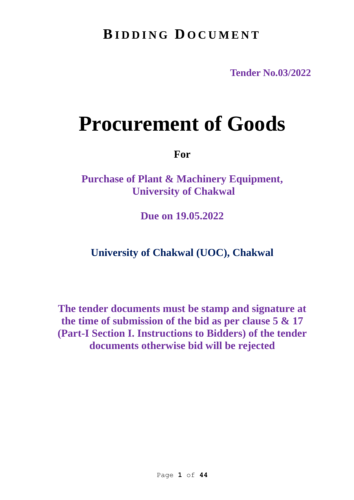# **BI D D I N G D O C U M E N T**

**Tender No.03/2022**

# **Procurement of Goods**

**For**

**Purchase of Plant & Machinery Equipment, University of Chakwal** 

**Due on 19.05.2022**

**University of Chakwal (UOC), Chakwal** 

**The tender documents must be stamp and signature at the time of submission of the bid as per clause 5 & 17 (Part-I Section I. Instructions to Bidders) of the tender documents otherwise bid will be rejected**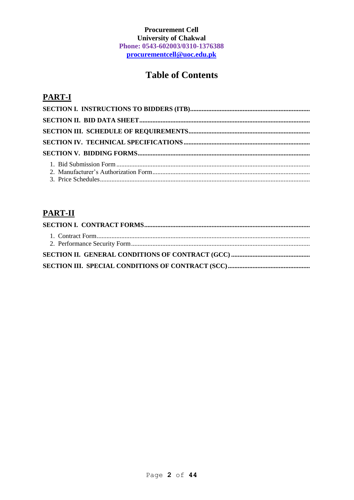# **Procurement Cell University of Chakwal** Phone: 0543-602003/0310-1376388 procurementcell@uoc.edu.pk

# **Table of Contents**

# **PART-I**

# **PART-II**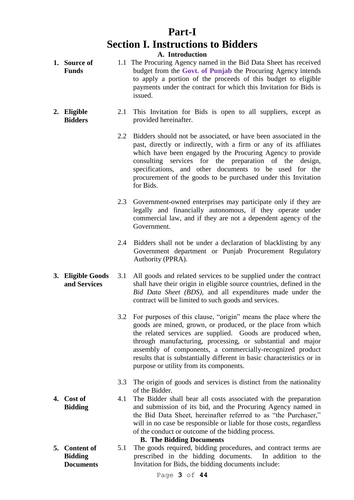# **Part-I Section I. Instructions to Bidders**

**A. Introduction**

- **1. Source of Funds** 1.1 The Procuring Agency named in the Bid Data Sheet has received budget from the **Govt. of Punjab** the Procuring Agency intends to apply a portion of the proceeds of this budget to eligible payments under the contract for which this Invitation for Bids is issued.
- **2. Eligible Bidders** 2.1 This Invitation for Bids is open to all suppliers, except as provided hereinafter.
	- 2.2 Bidders should not be associated, or have been associated in the past, directly or indirectly, with a firm or any of its affiliates which have been engaged by the Procuring Agency to provide consulting services for the preparation of the design, specifications, and other documents to be used for the procurement of the goods to be purchased under this Invitation for Bids.
	- 2.3 Government-owned enterprises may participate only if they are legally and financially autonomous, if they operate under commercial law, and if they are not a dependent agency of the Government.
	- 2.4 Bidders shall not be under a declaration of blacklisting by any Government department or Punjab Procurement Regulatory Authority (PPRA).
- **3. Eligible Goods and Services** 3.1 All goods and related services to be supplied under the contract shall have their origin in eligible source countries, defined in the *Bid Data Sheet (BDS)*, and all expenditures made under the contract will be limited to such goods and services.
	- 3.2 For purposes of this clause, "origin" means the place where the goods are mined, grown, or produced, or the place from which the related services are supplied. Goods are produced when, through manufacturing, processing, or substantial and major assembly of components, a commercially-recognized product results that is substantially different in basic characteristics or in purpose or utility from its components.
	- 3.3 The origin of goods and services is distinct from the nationality of the Bidder.
	- 4.1 The Bidder shall bear all costs associated with the preparation and submission of its bid, and the Procuring Agency named in the Bid Data Sheet, hereinafter referred to as "the Purchaser," will in no case be responsible or liable for those costs, regardless of the conduct or outcome of the bidding process.

#### **B. The Bidding Documents**

**5. Content of Bidding Documents** 5.1 The goods required, bidding procedures, and contract terms are prescribed in the bidding documents. In addition to the Invitation for Bids, the bidding documents include:

**4. Cost of** 

Page **3** of **44**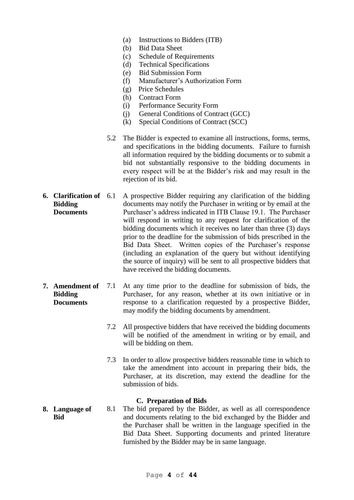- (a) Instructions to Bidders (ITB)
- (b) Bid Data Sheet
- (c) Schedule of Requirements
- (d) Technical Specifications
- (e) Bid Submission Form
- (f) Manufacturer's Authorization Form
- (g) Price Schedules
- (h) Contract Form
- (i) Performance Security Form
- (j) General Conditions of Contract (GCC)
- (k) Special Conditions of Contract (SCC)
- 5.2 The Bidder is expected to examine all instructions, forms, terms, and specifications in the bidding documents. Failure to furnish all information required by the bidding documents or to submit a bid not substantially responsive to the bidding documents in every respect will be at the Bidder's risk and may result in the rejection of its bid.
- **6. Clarification of Bidding Documents** 6.1 A prospective Bidder requiring any clarification of the bidding documents may notify the Purchaser in writing or by email at the Purchaser's address indicated in ITB Clause 19.1. The Purchaser will respond in writing to any request for clarification of the bidding documents which it receives no later than three (3) days prior to the deadline for the submission of bids prescribed in the Bid Data Sheet. Written copies of the Purchaser's response (including an explanation of the query but without identifying the source of inquiry) will be sent to all prospective bidders that have received the bidding documents.
- **7. Amendment of Bidding Documents** 7.1 At any time prior to the deadline for submission of bids, the Purchaser, for any reason, whether at its own initiative or in response to a clarification requested by a prospective Bidder, may modify the bidding documents by amendment.
	- 7.2 All prospective bidders that have received the bidding documents will be notified of the amendment in writing or by email, and will be bidding on them.
	- 7.3 In order to allow prospective bidders reasonable time in which to take the amendment into account in preparing their bids, the Purchaser, at its discretion, may extend the deadline for the submission of bids.

#### **C. Preparation of Bids**

**8. Language of Bid** 8.1 The bid prepared by the Bidder, as well as all correspondence and documents relating to the bid exchanged by the Bidder and the Purchaser shall be written in the language specified in the Bid Data Sheet. Supporting documents and printed literature furnished by the Bidder may be in same language.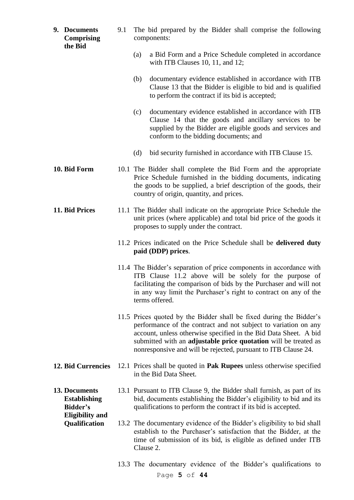|                                         | 9. Documents<br><b>Comprising</b><br>the Bid     | 9.1 | The bid prepared by the Bidder shall comprise the following<br>components:                                                                                                                                                                                                                                                                      |                                                                                                                                                                                                                                                                                           |  |  |
|-----------------------------------------|--------------------------------------------------|-----|-------------------------------------------------------------------------------------------------------------------------------------------------------------------------------------------------------------------------------------------------------------------------------------------------------------------------------------------------|-------------------------------------------------------------------------------------------------------------------------------------------------------------------------------------------------------------------------------------------------------------------------------------------|--|--|
|                                         |                                                  |     | (a)                                                                                                                                                                                                                                                                                                                                             | a Bid Form and a Price Schedule completed in accordance<br>with ITB Clauses $10$ , $11$ , and $12$ ;                                                                                                                                                                                      |  |  |
|                                         |                                                  |     | (b)                                                                                                                                                                                                                                                                                                                                             | documentary evidence established in accordance with ITB<br>Clause 13 that the Bidder is eligible to bid and is qualified<br>to perform the contract if its bid is accepted;                                                                                                               |  |  |
|                                         |                                                  |     | (c)                                                                                                                                                                                                                                                                                                                                             | documentary evidence established in accordance with ITB<br>Clause 14 that the goods and ancillary services to be<br>supplied by the Bidder are eligible goods and services and<br>conform to the bidding documents; and                                                                   |  |  |
|                                         |                                                  |     | (d)                                                                                                                                                                                                                                                                                                                                             | bid security furnished in accordance with ITB Clause 15.                                                                                                                                                                                                                                  |  |  |
|                                         | 10. Bid Form                                     |     |                                                                                                                                                                                                                                                                                                                                                 | 10.1 The Bidder shall complete the Bid Form and the appropriate<br>Price Schedule furnished in the bidding documents, indicating<br>the goods to be supplied, a brief description of the goods, their<br>country of origin, quantity, and prices.                                         |  |  |
|                                         | 11. Bid Prices                                   |     | 11.1 The Bidder shall indicate on the appropriate Price Schedule the<br>unit prices (where applicable) and total bid price of the goods it<br>proposes to supply under the contract.                                                                                                                                                            |                                                                                                                                                                                                                                                                                           |  |  |
|                                         |                                                  |     |                                                                                                                                                                                                                                                                                                                                                 | 11.2 Prices indicated on the Price Schedule shall be delivered duty<br>paid (DDP) prices.                                                                                                                                                                                                 |  |  |
|                                         |                                                  |     |                                                                                                                                                                                                                                                                                                                                                 | 11.4 The Bidder's separation of price components in accordance with<br>ITB Clause 11.2 above will be solely for the purpose of<br>facilitating the comparison of bids by the Purchaser and will not<br>in any way limit the Purchaser's right to contract on any of the<br>terms offered. |  |  |
|                                         |                                                  |     | 11.5 Prices quoted by the Bidder shall be fixed during the Bidder's<br>performance of the contract and not subject to variation on any<br>account, unless otherwise specified in the Bid Data Sheet. A bid<br>submitted with an adjustable price quotation will be treated as<br>nonresponsive and will be rejected, pursuant to ITB Clause 24. |                                                                                                                                                                                                                                                                                           |  |  |
|                                         | <b>12. Bid Currencies</b>                        |     |                                                                                                                                                                                                                                                                                                                                                 | 12.1 Prices shall be quoted in Pak Rupees unless otherwise specified<br>in the Bid Data Sheet.                                                                                                                                                                                            |  |  |
|                                         | 13. Documents<br><b>Establishing</b><br>Bidder's |     |                                                                                                                                                                                                                                                                                                                                                 | 13.1 Pursuant to ITB Clause 9, the Bidder shall furnish, as part of its<br>bid, documents establishing the Bidder's eligibility to bid and its<br>qualifications to perform the contract if its bid is accepted.                                                                          |  |  |
| <b>Eligibility and</b><br>Qualification |                                                  |     | Clause 2.                                                                                                                                                                                                                                                                                                                                       | 13.2 The documentary evidence of the Bidder's eligibility to bid shall<br>establish to the Purchaser's satisfaction that the Bidder, at the<br>time of submission of its bid, is eligible as defined under ITB                                                                            |  |  |
|                                         |                                                  |     |                                                                                                                                                                                                                                                                                                                                                 | 13.3 The documentary evidence of the Bidder's qualifications to<br>Page 5 of 44                                                                                                                                                                                                           |  |  |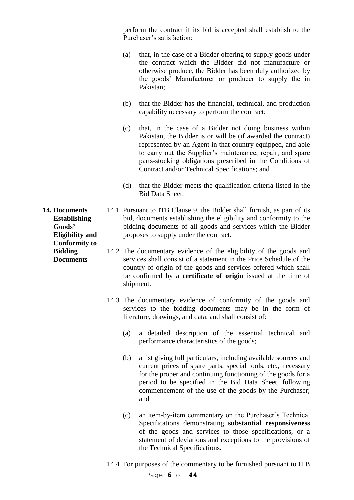perform the contract if its bid is accepted shall establish to the Purchaser's satisfaction:

- (a) that, in the case of a Bidder offering to supply goods under the contract which the Bidder did not manufacture or otherwise produce, the Bidder has been duly authorized by the goods' Manufacturer or producer to supply the in Pakistan;
- (b) that the Bidder has the financial, technical, and production capability necessary to perform the contract;
- (c) that, in the case of a Bidder not doing business within Pakistan, the Bidder is or will be (if awarded the contract) represented by an Agent in that country equipped, and able to carry out the Supplier's maintenance, repair, and spare parts-stocking obligations prescribed in the Conditions of Contract and/or Technical Specifications; and
- (d) that the Bidder meets the qualification criteria listed in the Bid Data Sheet.
- 14.1 Pursuant to ITB Clause 9, the Bidder shall furnish, as part of its bid, documents establishing the eligibility and conformity to the bidding documents of all goods and services which the Bidder proposes to supply under the contract.
	- 14.2 The documentary evidence of the eligibility of the goods and services shall consist of a statement in the Price Schedule of the country of origin of the goods and services offered which shall be confirmed by a **certificate of origin** issued at the time of shipment.
	- 14.3 The documentary evidence of conformity of the goods and services to the bidding documents may be in the form of literature, drawings, and data, and shall consist of:
		- (a) a detailed description of the essential technical and performance characteristics of the goods;
		- (b) a list giving full particulars, including available sources and current prices of spare parts, special tools, etc., necessary for the proper and continuing functioning of the goods for a period to be specified in the Bid Data Sheet, following commencement of the use of the goods by the Purchaser; and
		- (c) an item-by-item commentary on the Purchaser's Technical Specifications demonstrating **substantial responsiveness** of the goods and services to those specifications, or a statement of deviations and exceptions to the provisions of the Technical Specifications.
	- 14.4 For purposes of the commentary to be furnished pursuant to ITB

**14. Documents Establishing Goods' Eligibility and Conformity to Bidding Documents**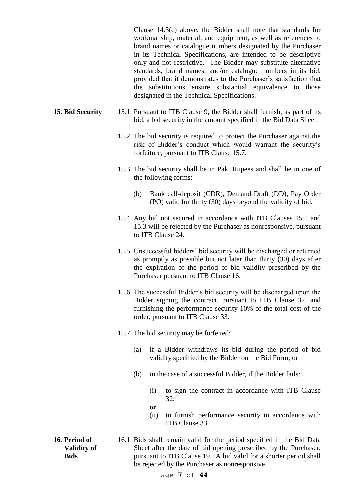Clause 14.3(c) above, the Bidder shall note that standards for workmanship, material, and equipment, as well as references to brand names or catalogue numbers designated by the Purchaser in its Technical Specifications, are intended to be descriptive only and not restrictive. The Bidder may substitute alternative standards, brand names, and/or catalogue numbers in its bid, provided that it demonstrates to the Purchaser's satisfaction that the substitutions ensure substantial equivalence to those designated in the Technical Specifications.

- **15. Bid Security** 15.1 Pursuant to ITB Clause 9, the Bidder shall furnish, as part of its bid, a bid security in the amount specified in the Bid Data Sheet.
	- 15.2 The bid security is required to protect the Purchaser against the risk of Bidder's conduct which would warrant the security's forfeiture, pursuant to ITB Clause 15.7.
	- 15.3 The bid security shall be in Pak. Rupees and shall be in one of the following forms:
		- (b) Bank call-deposit (CDR), Demand Draft (DD), Pay Order (PO) valid for thirty (30) days beyond the validity of bid.
	- 15.4 Any bid not secured in accordance with ITB Clauses 15.1 and 15.3 will be rejected by the Purchaser as nonresponsive, pursuant to ITB Clause 24.
	- 15.5 Unsuccessful bidders' bid security will be discharged or returned as promptly as possible but not later than thirty (30) days after the expiration of the period of bid validity prescribed by the Purchaser pursuant to ITB Clause 16.
	- 15.6 The successful Bidder's bid security will be discharged upon the Bidder signing the contract, pursuant to ITB Clause 32, and furnishing the performance security 10% of the total cost of the order, pursuant to ITB Clause 33.
	- 15.7 The bid security may be forfeited:
		- (a) if a Bidder withdraws its bid during the period of bid validity specified by the Bidder on the Bid Form; or
		- (b) in the case of a successful Bidder, if the Bidder fails:
			- (i) to sign the contract in accordance with ITB Clause 32;
			- **or**
			- (ii) to furnish performance security in accordance with ITB Clause 33.
- **16. Period of Validity of Bids**
- 16.1 Bids shall remain valid for the period specified in the Bid Data Sheet after the date of bid opening prescribed by the Purchaser, pursuant to ITB Clause 19. A bid valid for a shorter period shall be rejected by the Purchaser as nonresponsive.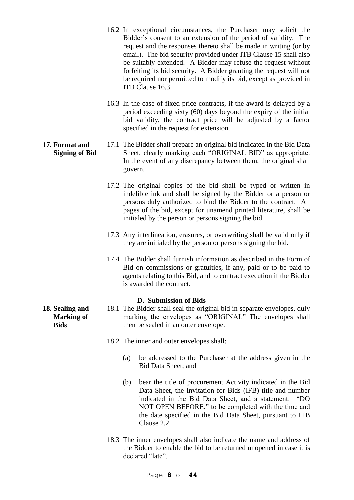- 16.2 In exceptional circumstances, the Purchaser may solicit the Bidder's consent to an extension of the period of validity. The request and the responses thereto shall be made in writing (or by email). The bid security provided under ITB Clause 15 shall also be suitably extended. A Bidder may refuse the request without forfeiting its bid security. A Bidder granting the request will not be required nor permitted to modify its bid, except as provided in ITB Clause 16.3.
- 16.3 In the case of fixed price contracts, if the award is delayed by a period exceeding sixty (60) days beyond the expiry of the initial bid validity, the contract price will be adjusted by a factor specified in the request for extension.
- **17. Format and Signing of Bid** 17.1 The Bidder shall prepare an original bid indicated in the Bid Data Sheet, clearly marking each "ORIGINAL BID" as appropriate. In the event of any discrepancy between them, the original shall govern.
	- 17.2 The original copies of the bid shall be typed or written in indelible ink and shall be signed by the Bidder or a person or persons duly authorized to bind the Bidder to the contract. All pages of the bid, except for unamend printed literature, shall be initialed by the person or persons signing the bid.
	- 17.3 Any interlineation, erasures, or overwriting shall be valid only if they are initialed by the person or persons signing the bid.
	- 17.4 The Bidder shall furnish information as described in the Form of Bid on commissions or gratuities, if any, paid or to be paid to agents relating to this Bid, and to contract execution if the Bidder is awarded the contract.

## **D. Submission of Bids**

- 18.1 The Bidder shall seal the original bid in separate envelopes, duly marking the envelopes as "ORIGINAL" The envelopes shall then be sealed in an outer envelope.
	- 18.2 The inner and outer envelopes shall:
		- (a) be addressed to the Purchaser at the address given in the Bid Data Sheet; and
		- (b) bear the title of procurement Activity indicated in the Bid Data Sheet, the Invitation for Bids (IFB) title and number indicated in the Bid Data Sheet, and a statement: "DO NOT OPEN BEFORE," to be completed with the time and the date specified in the Bid Data Sheet, pursuant to ITB Clause 2.2.
	- 18.3 The inner envelopes shall also indicate the name and address of the Bidder to enable the bid to be returned unopened in case it is declared "late".

**18. Sealing and Marking of Bids**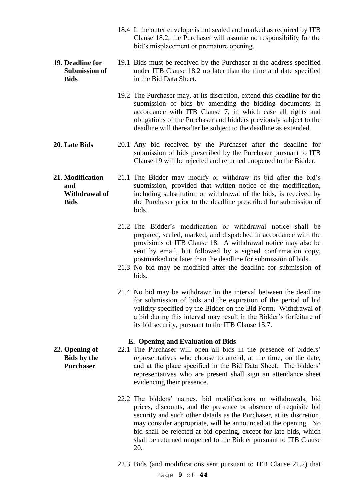- 18.4 If the outer envelope is not sealed and marked as required by ITB Clause 18.2, the Purchaser will assume no responsibility for the bid's misplacement or premature opening.
- **19. Deadline for Submission of Bids** 19.1 Bids must be received by the Purchaser at the address specified under ITB Clause 18.2 no later than the time and date specified in the Bid Data Sheet.
	- 19.2 The Purchaser may, at its discretion, extend this deadline for the submission of bids by amending the bidding documents in accordance with ITB Clause 7, in which case all rights and obligations of the Purchaser and bidders previously subject to the deadline will thereafter be subject to the deadline as extended.
- **20. Late Bids** 20.1 Any bid received by the Purchaser after the deadline for submission of bids prescribed by the Purchaser pursuant to ITB Clause 19 will be rejected and returned unopened to the Bidder.
- **21. Modification and Withdrawal of Bids** 21.1 The Bidder may modify or withdraw its bid after the bid's submission, provided that written notice of the modification, including substitution or withdrawal of the bids, is received by the Purchaser prior to the deadline prescribed for submission of bids.
	- 21.2 The Bidder's modification or withdrawal notice shall be prepared, sealed, marked, and dispatched in accordance with the provisions of ITB Clause 18. A withdrawal notice may also be sent by email, but followed by a signed confirmation copy, postmarked not later than the deadline for submission of bids.
	- 21.3 No bid may be modified after the deadline for submission of bids.
	- 21.4 No bid may be withdrawn in the interval between the deadline for submission of bids and the expiration of the period of bid validity specified by the Bidder on the Bid Form. Withdrawal of a bid during this interval may result in the Bidder's forfeiture of its bid security, pursuant to the ITB Clause 15.7.

#### **E. Opening and Evaluation of Bids**

- 22.1 The Purchaser will open all bids in the presence of bidders' representatives who choose to attend, at the time, on the date, and at the place specified in the Bid Data Sheet. The bidders' representatives who are present shall sign an attendance sheet evidencing their presence.
	- 22.2 The bidders' names, bid modifications or withdrawals, bid prices, discounts, and the presence or absence of requisite bid security and such other details as the Purchaser, at its discretion, may consider appropriate, will be announced at the opening. No bid shall be rejected at bid opening, except for late bids, which shall be returned unopened to the Bidder pursuant to ITB Clause 20.
	- 22.3 Bids (and modifications sent pursuant to ITB Clause 21.2) that

**22. Opening of Bids by the Purchaser**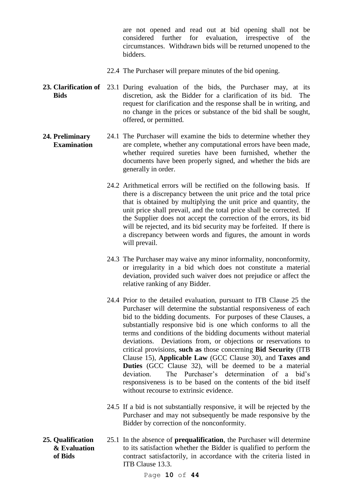are not opened and read out at bid opening shall not be considered further for evaluation, irrespective of the circumstances. Withdrawn bids will be returned unopened to the bidders.

- 22.4 The Purchaser will prepare minutes of the bid opening.
- 23. Clarification of 23.1 During evaluation of the bids, the Purchaser may, at its **Bids** discretion, ask the Bidder for a clarification of its bid. The request for clarification and the response shall be in writing, and no change in the prices or substance of the bid shall be sought, offered, or permitted.

#### **24. Preliminary Examination** 24.1 The Purchaser will examine the bids to determine whether they are complete, whether any computational errors have been made, whether required sureties have been furnished, whether the documents have been properly signed, and whether the bids are generally in order.

- 24.2 Arithmetical errors will be rectified on the following basis. If there is a discrepancy between the unit price and the total price that is obtained by multiplying the unit price and quantity, the unit price shall prevail, and the total price shall be corrected. If the Supplier does not accept the correction of the errors, its bid will be rejected, and its bid security may be forfeited. If there is a discrepancy between words and figures, the amount in words will prevail.
- 24.3 The Purchaser may waive any minor informality, nonconformity, or irregularity in a bid which does not constitute a material deviation, provided such waiver does not prejudice or affect the relative ranking of any Bidder.
- 24.4 Prior to the detailed evaluation, pursuant to ITB Clause 25 the Purchaser will determine the substantial responsiveness of each bid to the bidding documents. For purposes of these Clauses, a substantially responsive bid is one which conforms to all the terms and conditions of the bidding documents without material deviations. Deviations from, or objections or reservations to critical provisions, **such as** those concerning **Bid Security** (ITB Clause 15), **Applicable Law** (GCC Clause 30), and **Taxes and Duties** (GCC Clause 32), will be deemed to be a material deviation. The Purchaser's determination of a bid's responsiveness is to be based on the contents of the bid itself without recourse to extrinsic evidence.
- 24.5 If a bid is not substantially responsive, it will be rejected by the Purchaser and may not subsequently be made responsive by the Bidder by correction of the nonconformity.
- **25. Qualification & Evaluation of Bids** 25.1 In the absence of **prequalification**, the Purchaser will determine to its satisfaction whether the Bidder is qualified to perform the contract satisfactorily, in accordance with the criteria listed in ITB Clause 13.3.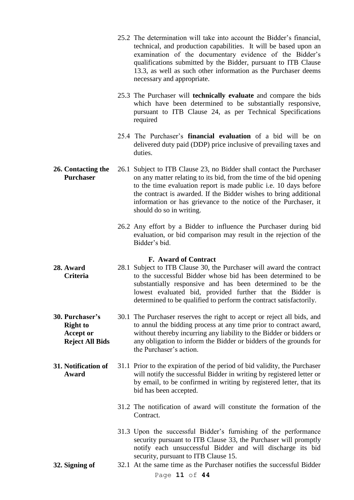- 25.2 The determination will take into account the Bidder's financial, technical, and production capabilities. It will be based upon an examination of the documentary evidence of the Bidder's qualifications submitted by the Bidder, pursuant to ITB Clause 13.3, as well as such other information as the Purchaser deems necessary and appropriate.
- 25.3 The Purchaser will **technically evaluate** and compare the bids which have been determined to be substantially responsive, pursuant to ITB Clause 24, as per Technical Specifications required
- 25.4 The Purchaser's **financial evaluation** of a bid will be on delivered duty paid (DDP) price inclusive of prevailing taxes and duties.
- **26. Contacting the Purchaser** 26.1 Subject to ITB Clause 23, no Bidder shall contact the Purchaser on any matter relating to its bid, from the time of the bid opening to the time evaluation report is made public i.e. 10 days before the contract is awarded. If the Bidder wishes to bring additional information or has grievance to the notice of the Purchaser, it should do so in writing.
	- 26.2 Any effort by a Bidder to influence the Purchaser during bid evaluation, or bid comparison may result in the rejection of the Bidder's bid.

#### **F. Award of Contract**

- **28. Award Criteria** 28.1 Subject to ITB Clause 30, the Purchaser will award the contract to the successful Bidder whose bid has been determined to be substantially responsive and has been determined to be the lowest evaluated bid, provided further that the Bidder is determined to be qualified to perform the contract satisfactorily.
- **30. Purchaser's Right to Accept or Reject All Bids** 30.1 The Purchaser reserves the right to accept or reject all bids, and to annul the bidding process at any time prior to contract award, without thereby incurring any liability to the Bidder or bidders or any obligation to inform the Bidder or bidders of the grounds for the Purchaser's action.
- **31. Notification of Award** 31.1 Prior to the expiration of the period of bid validity, the Purchaser will notify the successful Bidder in writing by registered letter or by email, to be confirmed in writing by registered letter, that its bid has been accepted.
	- 31.2 The notification of award will constitute the formation of the Contract.
	- 31.3 Upon the successful Bidder's furnishing of the performance security pursuant to ITB Clause 33, the Purchaser will promptly notify each unsuccessful Bidder and will discharge its bid security, pursuant to ITB Clause 15.
- **32. Signing of** 32.1 At the same time as the Purchaser notifies the successful Bidder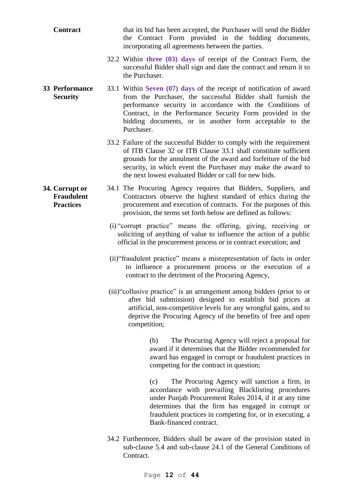| <b>Contract</b>                                         | that its bid has been accepted, the Purchaser will send the Bidder<br>the Contract Form provided in the bidding documents,<br>incorporating all agreements between the parties.                                                                                                                                                        |
|---------------------------------------------------------|----------------------------------------------------------------------------------------------------------------------------------------------------------------------------------------------------------------------------------------------------------------------------------------------------------------------------------------|
|                                                         | 32.2 Within three (03) days of receipt of the Contract Form, the<br>successful Bidder shall sign and date the contract and return it to<br>the Purchaser.                                                                                                                                                                              |
| <b>33 Performance</b><br><b>Security</b>                | 33.1 Within Seven (07) days of the receipt of notification of award<br>from the Purchaser, the successful Bidder shall furnish the<br>performance security in accordance with the Conditions of<br>Contract, in the Performance Security Form provided in the<br>bidding documents, or in another form acceptable to the<br>Purchaser. |
|                                                         | 33.2 Failure of the successful Bidder to comply with the requirement<br>of ITB Clause 32 or ITB Clause 33.1 shall constitute sufficient<br>grounds for the annulment of the award and forfeiture of the bid<br>security, in which event the Purchaser may make the award to<br>the next lowest evaluated Bidder or call for new bids.  |
| 34. Corrupt or<br><b>Fraudulent</b><br><b>Practices</b> | 34.1 The Procuring Agency requires that Bidders, Suppliers, and<br>Contractors observe the highest standard of ethics during the<br>procurement and execution of contracts. For the purposes of this<br>provision, the terms set forth below are defined as follows:                                                                   |
|                                                         | (i) "corrupt practice" means the offering, giving, receiving or<br>soliciting of anything of value to influence the action of a public<br>official in the procurement process or in contract execution; and                                                                                                                            |
|                                                         | (ii) "fraudulent practice" means a misrepresentation of facts in order<br>to influence a procurement process or the execution of a<br>contract to the detriment of the Procuring Agency,                                                                                                                                               |
|                                                         | (iii) "collusive practice" is an arrangement among bidders (prior to or<br>after bid submission) designed to establish bid prices at<br>artificial, non-competitive levels for any wrongful gains, and to<br>deprive the Procuring Agency of the benefits of free and open<br>competition;                                             |
|                                                         | The Procuring Agency will reject a proposal for<br>(b)<br>award if it determines that the Bidder recommended for<br>award has engaged in corrupt or fraudulent practices in<br>competing for the contract in question;                                                                                                                 |
|                                                         | The Procuring Agency will sanction a firm, in<br>(c)<br>accordance with prevailing Blacklisting procedures<br>under Punjab Procurement Rules 2014, if it at any time<br>determines that the firm has engaged in corrupt or<br>fraudulent practices in competing for, or in executing, a<br>Bank-financed contract.                     |
|                                                         | 34.2 Furthermore, Bidders shall be aware of the provision stated in<br>sub-clause 5.4 and sub-clause 24.1 of the General Conditions of<br>Contract.                                                                                                                                                                                    |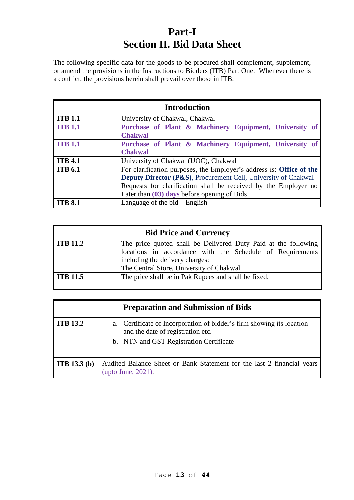# **Part-I Section II. Bid Data Sheet**

The following specific data for the goods to be procured shall complement, supplement, or amend the provisions in the Instructions to Bidders (ITB) Part One. Whenever there is a conflict, the provisions herein shall prevail over those in ITB.

| <b>Introduction</b> |                                                                                                                                                                                                                                                                       |  |  |  |
|---------------------|-----------------------------------------------------------------------------------------------------------------------------------------------------------------------------------------------------------------------------------------------------------------------|--|--|--|
| ITB 1.1             | University of Chakwal, Chakwal                                                                                                                                                                                                                                        |  |  |  |
| <b>ITB</b> 1.1      | Purchase of Plant & Machinery Equipment, University of<br><b>Chakwal</b>                                                                                                                                                                                              |  |  |  |
| <b>ITB</b> 1.1      | Purchase of Plant & Machinery Equipment, University of<br><b>Chakwal</b>                                                                                                                                                                                              |  |  |  |
| $\vert$ ITB 4.1     | University of Chakwal (UOC), Chakwal                                                                                                                                                                                                                                  |  |  |  |
| <b>ITB</b> 6.1      | For clarification purposes, the Employer's address is: Office of the<br><b>Deputy Director (P&amp;S), Procurement Cell, University of Chakwal</b><br>Requests for clarification shall be received by the Employer no<br>Later than $(03)$ days before opening of Bids |  |  |  |
| <b>ITB 8.1</b>      | Language of the $bid$ – English                                                                                                                                                                                                                                       |  |  |  |

| <b>Bid Price and Currency</b> |                                                                                                                             |  |  |  |
|-------------------------------|-----------------------------------------------------------------------------------------------------------------------------|--|--|--|
| <b>ITB</b> 11.2               | The price quoted shall be Delivered Duty Paid at the following<br>locations in accordance with the Schedule of Requirements |  |  |  |
|                               | including the delivery charges:<br>The Central Store, University of Chakwal                                                 |  |  |  |
| <b>ITB</b> 11.5               | The price shall be in Pak Rupees and shall be fixed.                                                                        |  |  |  |

|                     | <b>Preparation and Submission of Bids</b>                                                                                                             |
|---------------------|-------------------------------------------------------------------------------------------------------------------------------------------------------|
| <b>ITB 13.2</b>     | a. Certificate of Incorporation of bidder's firm showing its location<br>and the date of registration etc.<br>b. NTN and GST Registration Certificate |
| <b>ITB</b> 13.3 (b) | Audited Balance Sheet or Bank Statement for the last 2 financial years<br>(upto June, 2021).                                                          |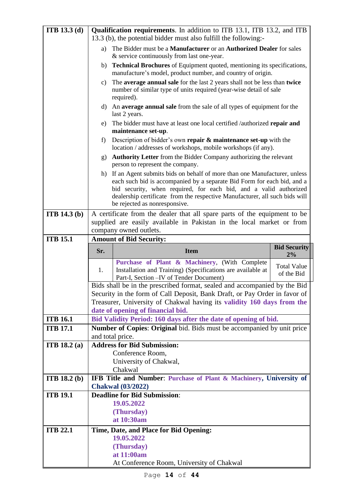| <b>ITB</b> 13.3 (d)                | Qualification requirements. In addition to ITB 13.1, ITB 13.2, and ITB                                                                                                                                                                                                                                                                      |                                                                                                                                                                                                                                   |                                  |  |  |
|------------------------------------|---------------------------------------------------------------------------------------------------------------------------------------------------------------------------------------------------------------------------------------------------------------------------------------------------------------------------------------------|-----------------------------------------------------------------------------------------------------------------------------------------------------------------------------------------------------------------------------------|----------------------------------|--|--|
|                                    | 13.3 (b), the potential bidder must also fulfill the following:-                                                                                                                                                                                                                                                                            |                                                                                                                                                                                                                                   |                                  |  |  |
|                                    | The Bidder must be a Manufacturer or an Authorized Dealer for sales<br>a)<br>& service continuously from last one-year.                                                                                                                                                                                                                     |                                                                                                                                                                                                                                   |                                  |  |  |
|                                    | <b>Technical Brochures</b> of Equipment quoted, mentioning its specifications,<br>b)<br>manufacture's model, product number, and country of origin.                                                                                                                                                                                         |                                                                                                                                                                                                                                   |                                  |  |  |
|                                    | The <b>average annual sale</b> for the last 2 years shall not be less than <b>twice</b><br>C)<br>number of similar type of units required (year-wise detail of sale<br>required).                                                                                                                                                           |                                                                                                                                                                                                                                   |                                  |  |  |
|                                    |                                                                                                                                                                                                                                                                                                                                             | d) An average annual sale from the sale of all types of equipment for the<br>last 2 years.                                                                                                                                        |                                  |  |  |
|                                    | e)                                                                                                                                                                                                                                                                                                                                          | The bidder must have at least one local certified /authorized repair and<br>maintenance set-up.                                                                                                                                   |                                  |  |  |
|                                    | Description of bidder's own repair $\&$ maintenance set-up with the<br>f)<br>location / addresses of workshops, mobile workshops (if any).                                                                                                                                                                                                  |                                                                                                                                                                                                                                   |                                  |  |  |
|                                    | <b>Authority Letter</b> from the Bidder Company authorizing the relevant<br>$\mathbf{g}$ )<br>person to represent the company.                                                                                                                                                                                                              |                                                                                                                                                                                                                                   |                                  |  |  |
|                                    | h) If an Agent submits bids on behalf of more than one Manufacturer, unless<br>each such bid is accompanied by a separate Bid Form for each bid, and a<br>bid security, when required, for each bid, and a valid authorized<br>dealership certificate from the respective Manufacturer, all such bids will<br>be rejected as nonresponsive. |                                                                                                                                                                                                                                   |                                  |  |  |
| <b>ITB</b> 14.3 (b)                |                                                                                                                                                                                                                                                                                                                                             | A certificate from the dealer that all spare parts of the equipment to be                                                                                                                                                         |                                  |  |  |
|                                    | supplied are easily available in Pakistan in the local market or from                                                                                                                                                                                                                                                                       |                                                                                                                                                                                                                                   |                                  |  |  |
| <b>ITB 15.1</b>                    | company owned outlets.                                                                                                                                                                                                                                                                                                                      |                                                                                                                                                                                                                                   |                                  |  |  |
|                                    | <b>Amount of Bid Security:</b>                                                                                                                                                                                                                                                                                                              |                                                                                                                                                                                                                                   |                                  |  |  |
|                                    |                                                                                                                                                                                                                                                                                                                                             |                                                                                                                                                                                                                                   |                                  |  |  |
|                                    | Sr.                                                                                                                                                                                                                                                                                                                                         | <b>Item</b>                                                                                                                                                                                                                       | <b>Bid Security</b><br>2%        |  |  |
|                                    | 1.                                                                                                                                                                                                                                                                                                                                          | Purchase of Plant & Machinery, (With Complete<br>Installation and Training) (Specifications are available at<br>Part-I, Section - IV of Tender Document)                                                                          | <b>Total Value</b><br>of the Bid |  |  |
|                                    |                                                                                                                                                                                                                                                                                                                                             | Bids shall be in the prescribed format, sealed and accompanied by the Bid<br>Security in the form of Call Deposit, Bank Draft, or Pay Order in favor of<br>Treasurer, University of Chakwal having its validity 160 days from the |                                  |  |  |
|                                    |                                                                                                                                                                                                                                                                                                                                             | date of opening of financial bid.                                                                                                                                                                                                 |                                  |  |  |
| <b>ITB 16.1</b><br><b>ITB 17.1</b> |                                                                                                                                                                                                                                                                                                                                             | Bid Validity Period: 160 days after the date of opening of bid.                                                                                                                                                                   |                                  |  |  |
|                                    |                                                                                                                                                                                                                                                                                                                                             | Number of Copies: Original bid. Bids must be accompanied by unit price<br>and total price.                                                                                                                                        |                                  |  |  |
| <b>ITB</b> 18.2 (a)                |                                                                                                                                                                                                                                                                                                                                             | <b>Address for Bid Submission:</b>                                                                                                                                                                                                |                                  |  |  |
|                                    |                                                                                                                                                                                                                                                                                                                                             | Conference Room,                                                                                                                                                                                                                  |                                  |  |  |
|                                    |                                                                                                                                                                                                                                                                                                                                             | University of Chakwal,                                                                                                                                                                                                            |                                  |  |  |
| <b>ITB</b> 18.2 (b)                |                                                                                                                                                                                                                                                                                                                                             | Chakwal<br>IFB Title and Number: Purchase of Plant & Machinery, University of                                                                                                                                                     |                                  |  |  |
|                                    |                                                                                                                                                                                                                                                                                                                                             | <b>Chakwal</b> (03/2022)                                                                                                                                                                                                          |                                  |  |  |
| <b>ITB 19.1</b>                    |                                                                                                                                                                                                                                                                                                                                             | <b>Deadline for Bid Submission:</b><br>19.05.2022                                                                                                                                                                                 |                                  |  |  |
|                                    |                                                                                                                                                                                                                                                                                                                                             | (Thursday)                                                                                                                                                                                                                        |                                  |  |  |
|                                    |                                                                                                                                                                                                                                                                                                                                             | at 10:30am                                                                                                                                                                                                                        |                                  |  |  |
| <b>ITB 22.1</b>                    |                                                                                                                                                                                                                                                                                                                                             | Time, Date, and Place for Bid Opening:                                                                                                                                                                                            |                                  |  |  |
|                                    |                                                                                                                                                                                                                                                                                                                                             | 19.05.2022                                                                                                                                                                                                                        |                                  |  |  |
|                                    |                                                                                                                                                                                                                                                                                                                                             | (Thursday)<br>at 11:00am                                                                                                                                                                                                          |                                  |  |  |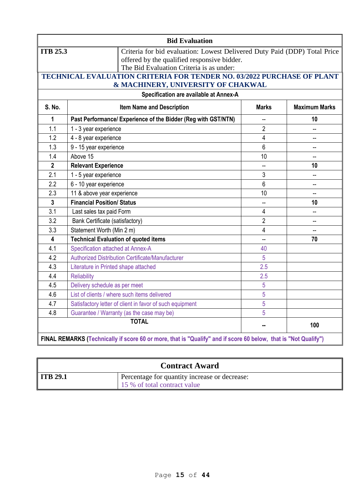| <b>Bid Evaluation</b>                                                        |                                                                                                                                                                      |                |                |  |  |  |  |
|------------------------------------------------------------------------------|----------------------------------------------------------------------------------------------------------------------------------------------------------------------|----------------|----------------|--|--|--|--|
| <b>ITB 25.3</b>                                                              | Criteria for bid evaluation: Lowest Delivered Duty Paid (DDP) Total Price<br>offered by the qualified responsive bidder.<br>The Bid Evaluation Criteria is as under: |                |                |  |  |  |  |
|                                                                              | TECHNICAL EVALUATION CRITERIA FOR TENDER NO. 03/2022 PURCHASE OF PLANT                                                                                               |                |                |  |  |  |  |
| & MACHINERY, UNIVERSITY OF CHAKWAL<br>Specification are available at Annex-A |                                                                                                                                                                      |                |                |  |  |  |  |
| <b>S. No.</b>                                                                | <b>Item Name and Description</b><br><b>Maximum Marks</b><br><b>Marks</b>                                                                                             |                |                |  |  |  |  |
| 1                                                                            | Past Performance/ Experience of the Bidder (Reg with GST/NTN)                                                                                                        | 44             | 10             |  |  |  |  |
| 1.1                                                                          | 1 - 3 year experience                                                                                                                                                | $\overline{2}$ |                |  |  |  |  |
| 1.2                                                                          | 4 - 8 year experience                                                                                                                                                | $\overline{4}$ |                |  |  |  |  |
| 1.3                                                                          | 9 - 15 year experience                                                                                                                                               | 6              |                |  |  |  |  |
| 1.4                                                                          | Above 15                                                                                                                                                             | 10             |                |  |  |  |  |
| $\overline{2}$                                                               | <b>Relevant Experience</b>                                                                                                                                           | -−             | 10             |  |  |  |  |
| 2.1                                                                          | 1 - 5 year experience                                                                                                                                                | 3              |                |  |  |  |  |
| 2.2                                                                          | 6 - 10 year experience                                                                                                                                               | 6              | --             |  |  |  |  |
| 2.3                                                                          | 11 & above year experience                                                                                                                                           | 10             |                |  |  |  |  |
| $\mathbf{3}$                                                                 | <b>Financial Position/ Status</b>                                                                                                                                    | $\overline{a}$ | 10             |  |  |  |  |
| 3.1                                                                          | Last sales tax paid Form                                                                                                                                             | 4              |                |  |  |  |  |
| 3.2                                                                          | <b>Bank Certificate (satisfactory)</b>                                                                                                                               | $\overline{2}$ |                |  |  |  |  |
| 3.3                                                                          | Statement Worth (Min 2 m)                                                                                                                                            | 4              | $\overline{a}$ |  |  |  |  |
| $\overline{\mathbf{4}}$                                                      | <b>Technical Evaluation of quoted items</b>                                                                                                                          | $\overline{a}$ | 70             |  |  |  |  |
| 4.1                                                                          | Specification attached at Annex-A                                                                                                                                    | 40             |                |  |  |  |  |
| 4.2                                                                          | Authorized Distribution Certificate/Manufacturer                                                                                                                     | 5              |                |  |  |  |  |
| 4.3                                                                          | Literature in Printed shape attached                                                                                                                                 | 2.5            |                |  |  |  |  |
| 4.4                                                                          | <b>Reliability</b>                                                                                                                                                   | 2.5            |                |  |  |  |  |
| 4.5                                                                          | Delivery schedule as per meet                                                                                                                                        | 5              |                |  |  |  |  |
| 4.6                                                                          | List of clients / where such items delivered                                                                                                                         | 5              |                |  |  |  |  |
| 4.7                                                                          | Satisfactory letter of client in favor of such equipment                                                                                                             | 5              |                |  |  |  |  |
| 4.8                                                                          | Guarantee / Warranty (as the case may be)                                                                                                                            | 5              |                |  |  |  |  |
|                                                                              | <b>TOTAL</b>                                                                                                                                                         | н.             | 100            |  |  |  |  |
|                                                                              | FINAL REMARKS (Technically if score 60 or more, that is "Qualify" and if score 60 below, that is "Not Qualify")                                                      |                |                |  |  |  |  |

|                      | <b>Contract Award</b>                         |
|----------------------|-----------------------------------------------|
| $\parallel$ ITB 29.1 | Percentage for quantity increase or decrease: |
|                      | 15 % of total contract value                  |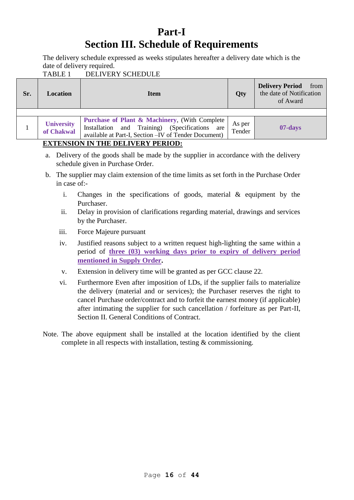# **Part-I Section III. Schedule of Requirements**

The delivery schedule expressed as weeks stipulates hereafter a delivery date which is the date of delivery required.

TABLE 1 DELIVERY SCHEDULE

|                                                                                                                                                                                                                             | of Award |
|-----------------------------------------------------------------------------------------------------------------------------------------------------------------------------------------------------------------------------|----------|
|                                                                                                                                                                                                                             |          |
| <b>Purchase of Plant &amp; Machinery, (With Complete)</b><br><b>University</b><br>As per<br>Installation and Training) (Specifications are<br>of Chakwal<br>Tender<br>available at Part-I, Section - IV of Tender Document) | 07-days  |

## **EXTENSION IN THE DELIVERY PERIOD:**

- a. Delivery of the goods shall be made by the supplier in accordance with the delivery schedule given in Purchase Order.
- b. The supplier may claim extension of the time limits as set forth in the Purchase Order in case of:
	- i. Changes in the specifications of goods, material & equipment by the Purchaser.
	- ii. Delay in provision of clarifications regarding material, drawings and services by the Purchaser.
	- iii. Force Majeure pursuant
	- iv. Justified reasons subject to a written request high-lighting the same within a period of **three (03) working days prior to expiry of delivery period mentioned in Supply Order.**
	- v. Extension in delivery time will be granted as per GCC clause 22.
	- vi. Furthermore Even after imposition of LDs, if the supplier fails to materialize the delivery (material and or services); the Purchaser reserves the right to cancel Purchase order/contract and to forfeit the earnest money (if applicable) after intimating the supplier for such cancellation / forfeiture as per Part-II, Section II. General Conditions of Contract.
- Note. The above equipment shall be installed at the location identified by the client complete in all respects with installation, testing & commissioning.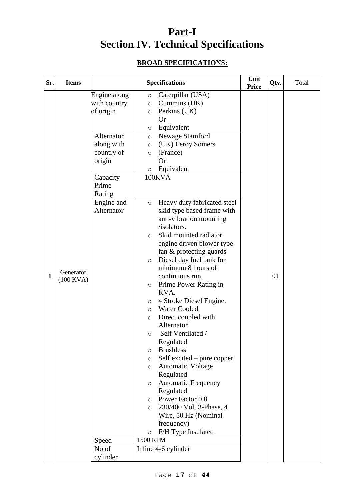# **Part-I Section IV. Technical Specifications**

# **BROAD SPECIFICATIONS:**

| Sr. | <b>Items</b>             |                                                                                                                              | <b>Specifications</b>                                                                                                                                                                                                                                                                                                                                                                                                                                                                                                                                                                                                                                                                                                                                                                                                                           | Unit<br><b>Price</b> | Qty. | Total |
|-----|--------------------------|------------------------------------------------------------------------------------------------------------------------------|-------------------------------------------------------------------------------------------------------------------------------------------------------------------------------------------------------------------------------------------------------------------------------------------------------------------------------------------------------------------------------------------------------------------------------------------------------------------------------------------------------------------------------------------------------------------------------------------------------------------------------------------------------------------------------------------------------------------------------------------------------------------------------------------------------------------------------------------------|----------------------|------|-------|
|     |                          | Engine along<br>with country<br>of origin<br>Alternator<br>along with<br>country of<br>origin<br>Capacity<br>Prime<br>Rating | Caterpillar (USA)<br>$\circ$<br>Cummins (UK)<br>$\circ$<br>Perkins (UK)<br>$\circ$<br><b>Or</b><br>Equivalent<br>$\circ$<br>Newage Stamford<br>$\circ$<br>(UK) Leroy Somers<br>$\circ$<br>(France)<br>$\circ$<br><b>Or</b><br>Equivalent<br>$\circ$<br>100KVA                                                                                                                                                                                                                                                                                                                                                                                                                                                                                                                                                                                   |                      |      |       |
| 1   | Generator<br>$(100$ KVA) | Engine and<br>Alternator<br>Speed                                                                                            | Heavy duty fabricated steel<br>$\circ$<br>skid type based frame with<br>anti-vibration mounting<br>/isolators.<br>Skid mounted radiator<br>$\circ$<br>engine driven blower type<br>fan & protecting guards<br>Diesel day fuel tank for<br>$\circ$<br>minimum 8 hours of<br>continuous run.<br>Prime Power Rating in<br>$\circ$<br>KVA.<br>4 Stroke Diesel Engine.<br>$\circ$<br><b>Water Cooled</b><br>$\circ$<br>Direct coupled with<br>$\circ$<br>Alternator<br>Self Ventilated /<br>O<br>Regulated<br><b>Brushless</b><br>$\circ$<br>Self excited – pure copper<br>$\circ$<br><b>Automatic Voltage</b><br>$\circ$<br>Regulated<br><b>Automatic Frequency</b><br>$\circ$<br>Regulated<br>Power Factor 0.8<br>$\circ$<br>230/400 Volt 3-Phase, 4<br>$\circ$<br>Wire, 50 Hz (Nominal<br>frequency)<br>F/H Type Insulated<br>$\circ$<br>1500 RPM |                      | 01   |       |
|     |                          | No of<br>cylinder                                                                                                            | Inline 4-6 cylinder                                                                                                                                                                                                                                                                                                                                                                                                                                                                                                                                                                                                                                                                                                                                                                                                                             |                      |      |       |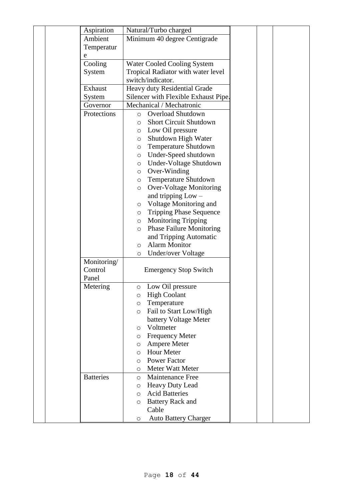|  | Aspiration       | Natural/Turbo charged                               |  |  |
|--|------------------|-----------------------------------------------------|--|--|
|  | Ambient          | Minimum 40 degree Centigrade                        |  |  |
|  | Temperatur       |                                                     |  |  |
|  | e                |                                                     |  |  |
|  | Cooling          | <b>Water Cooled Cooling System</b>                  |  |  |
|  | System           | Tropical Radiator with water level                  |  |  |
|  |                  | switch/indicator.                                   |  |  |
|  | Exhaust          | Heavy duty Residential Grade                        |  |  |
|  | System           | Silencer with Flexible Exhaust Pipe.                |  |  |
|  | Governor         | Mechanical / Mechatronic                            |  |  |
|  | Protections      | Overload Shutdown<br>$\circ$                        |  |  |
|  |                  | <b>Short Circuit Shutdown</b><br>O                  |  |  |
|  |                  | Low Oil pressure<br>$\circ$                         |  |  |
|  |                  | Shutdown High Water<br>O                            |  |  |
|  |                  | <b>Temperature Shutdown</b><br>O                    |  |  |
|  |                  | Under-Speed shutdown<br>$\circ$                     |  |  |
|  |                  | Under-Voltage Shutdown<br>$\circ$                   |  |  |
|  |                  | Over-Winding<br>$\circ$                             |  |  |
|  |                  | <b>Temperature Shutdown</b><br>$\circ$              |  |  |
|  |                  | <b>Over-Voltage Monitoring</b><br>$\circ$           |  |  |
|  |                  | and tripping $Low -$                                |  |  |
|  |                  | Voltage Monitoring and<br>$\circ$                   |  |  |
|  |                  | <b>Tripping Phase Sequence</b><br>$\circ$           |  |  |
|  |                  | Monitoring Tripping<br>$\circ$                      |  |  |
|  |                  | <b>Phase Failure Monitoring</b><br>$\circ$          |  |  |
|  |                  | and Tripping Automatic                              |  |  |
|  |                  | <b>Alarm Monitor</b><br>$\circ$                     |  |  |
|  |                  | Under/over Voltage<br>$\circ$                       |  |  |
|  | Monitoring/      |                                                     |  |  |
|  | Control          | <b>Emergency Stop Switch</b>                        |  |  |
|  | Panel            |                                                     |  |  |
|  | Metering         | Low Oil pressure<br>$\circ$                         |  |  |
|  |                  | <b>High Coolant</b><br>O                            |  |  |
|  |                  | Temperature<br>O                                    |  |  |
|  |                  | Fail to Start Low/High<br>$\circ$                   |  |  |
|  |                  | battery Voltage Meter                               |  |  |
|  |                  | Voltmeter<br>$\circ$                                |  |  |
|  |                  | <b>Frequency Meter</b><br>O                         |  |  |
|  |                  | Ampere Meter<br>O                                   |  |  |
|  |                  | <b>Hour Meter</b><br>$\circ$<br><b>Power Factor</b> |  |  |
|  |                  | $\circ$<br><b>Meter Watt Meter</b>                  |  |  |
|  | <b>Batteries</b> | $\circ$<br><b>Maintenance Free</b>                  |  |  |
|  |                  | $\circ$<br>Heavy Duty Lead                          |  |  |
|  |                  | O<br><b>Acid Batteries</b><br>$\circ$               |  |  |
|  |                  | <b>Battery Rack and</b>                             |  |  |
|  |                  | O<br>Cable                                          |  |  |
|  |                  | <b>Auto Battery Charger</b><br>O                    |  |  |
|  |                  |                                                     |  |  |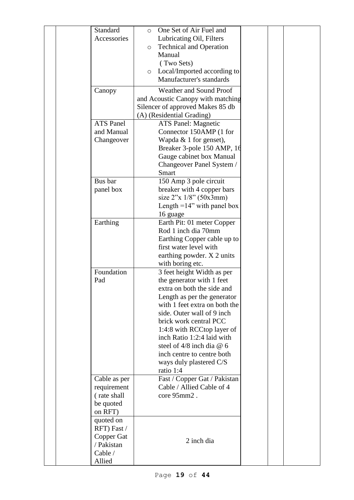| Standard<br>Accessories                                                   | One Set of Air Fuel and<br>$\circ$<br>Lubricating Oil, Filters<br><b>Technical and Operation</b><br>$\circ$<br>Manual<br>(Two Sets)<br>Local/Imported according to<br>$\circ$<br>Manufacturer's standards                                                                                                                                                                      |  |  |
|---------------------------------------------------------------------------|--------------------------------------------------------------------------------------------------------------------------------------------------------------------------------------------------------------------------------------------------------------------------------------------------------------------------------------------------------------------------------|--|--|
| Canopy                                                                    | Weather and Sound Proof<br>and Acoustic Canopy with matching<br>Silencer of approved Makes 85 db<br>(A) (Residential Grading)                                                                                                                                                                                                                                                  |  |  |
| <b>ATS Panel</b><br>and Manual<br>Changeover                              | <b>ATS Panel: Magnetic</b><br>Connector 150AMP (1 for<br>Wapda $& 1$ for genset),<br>Breaker 3-pole 150 AMP, 16<br>Gauge cabinet box Manual<br>Changeover Panel System /<br><b>Smart</b>                                                                                                                                                                                       |  |  |
| Bus bar<br>panel box                                                      | 150 Amp 3 pole circuit<br>breaker with 4 copper bars<br>size $2''x$ $1/8''$ (50x3mm)<br>Length $=14$ " with panel box<br>16 guage                                                                                                                                                                                                                                              |  |  |
| Earthing                                                                  | Earth Pit: 01 meter Copper<br>Rod 1 inch dia 70mm<br>Earthing Copper cable up to<br>first water level with<br>earthing powder. X 2 units<br>with boring etc.                                                                                                                                                                                                                   |  |  |
| Foundation<br>Pad                                                         | 3 feet height Width as per<br>the generator with 1 feet<br>extra on both the side and<br>Length as per the generator<br>with 1 feet extra on both the<br>side. Outer wall of 9 inch<br>brick work central PCC<br>1:4:8 with RCCtop layer of<br>inch Ratio 1:2:4 laid with<br>steel of $4/8$ inch dia @ 6<br>inch centre to centre both<br>ways duly plastered C/S<br>ratio 1:4 |  |  |
| Cable as per<br>requirement<br>(rate shall<br>be quoted<br>on RFT)        | Fast / Copper Gat / Pakistan<br>Cable / Allied Cable of 4<br>core 95mm2.                                                                                                                                                                                                                                                                                                       |  |  |
| quoted on<br>RFT) Fast /<br>Copper Gat<br>/ Pakistan<br>Cable /<br>Allied | 2 inch dia                                                                                                                                                                                                                                                                                                                                                                     |  |  |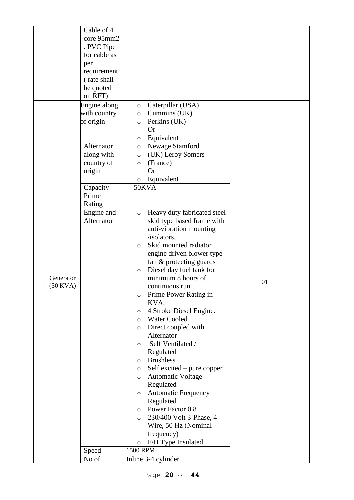|               | Cable of 4   |                                           |    |  |
|---------------|--------------|-------------------------------------------|----|--|
|               | core 95mm2   |                                           |    |  |
|               | . PVC Pipe   |                                           |    |  |
|               | for cable as |                                           |    |  |
|               | per          |                                           |    |  |
|               | requirement  |                                           |    |  |
|               | (rate shall  |                                           |    |  |
|               | be quoted    |                                           |    |  |
|               | on RFT)      |                                           |    |  |
|               | Engine along | Caterpillar (USA)<br>$\circ$              |    |  |
|               | with country | Cummins (UK)<br>$\circ$                   |    |  |
|               | of origin    | Perkins (UK)<br>$\circ$                   |    |  |
|               |              | <b>Or</b>                                 |    |  |
|               |              | Equivalent<br>$\circ$                     |    |  |
|               | Alternator   | Newage Stamford<br>$\circ$                |    |  |
|               | along with   | (UK) Leroy Somers<br>$\circ$              |    |  |
|               | country of   | (France)<br>$\circ$                       |    |  |
|               | origin       | <b>Or</b>                                 |    |  |
|               |              | $\circ$ Equivalent                        |    |  |
|               | Capacity     | 50KVA                                     |    |  |
|               | Prime        |                                           |    |  |
|               | Rating       |                                           |    |  |
|               | Engine and   | Heavy duty fabricated steel<br>$\circ$    |    |  |
|               | Alternator   | skid type based frame with                |    |  |
|               |              | anti-vibration mounting                   |    |  |
|               |              | /isolators.                               |    |  |
|               |              | Skid mounted radiator<br>$\Omega$         |    |  |
|               |              | engine driven blower type                 |    |  |
|               |              | fan & protecting guards                   |    |  |
|               |              | Diesel day fuel tank for<br>$\circ$       |    |  |
| Generator     |              | minimum 8 hours of                        | 01 |  |
| $(50$ KVA $)$ |              | continuous run.                           |    |  |
|               |              | Prime Power Rating in<br>$\circ$          |    |  |
|               |              | KVA.                                      |    |  |
|               |              | 4 Stroke Diesel Engine.<br>$\circ$        |    |  |
|               |              | <b>Water Cooled</b><br>$\circ$            |    |  |
|               |              | Direct coupled with<br>$\circ$            |    |  |
|               |              | Alternator                                |    |  |
|               |              | Self Ventilated /<br>$\circ$              |    |  |
|               |              | Regulated                                 |    |  |
|               |              | <b>Brushless</b><br>$\circ$               |    |  |
|               |              | Self excited – pure copper<br>$\circ$     |    |  |
|               |              | <b>Automatic Voltage</b><br>$\circ$       |    |  |
|               |              | Regulated                                 |    |  |
|               |              | <b>Automatic Frequency</b><br>$\circ$     |    |  |
|               |              | Regulated                                 |    |  |
|               |              | o Power Factor 0.8                        |    |  |
|               |              | 230/400 Volt 3-Phase, 4<br>$\circ$        |    |  |
|               |              | Wire, 50 Hz (Nominal                      |    |  |
|               |              | frequency)                                |    |  |
|               | Speed        | F/H Type Insulated<br>$\circ$<br>1500 RPM |    |  |
|               | No of        | Inline 3-4 cylinder                       |    |  |
|               |              |                                           |    |  |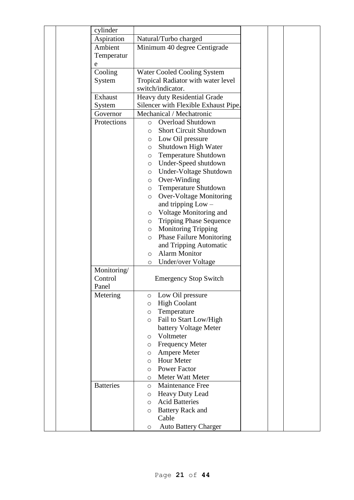|  | cylinder         |                                                            |  |  |
|--|------------------|------------------------------------------------------------|--|--|
|  | Aspiration       | Natural/Turbo charged                                      |  |  |
|  | Ambient          | Minimum 40 degree Centigrade                               |  |  |
|  | Temperatur       |                                                            |  |  |
|  | e                |                                                            |  |  |
|  | Cooling          | <b>Water Cooled Cooling System</b>                         |  |  |
|  | System           | Tropical Radiator with water level                         |  |  |
|  |                  | switch/indicator.                                          |  |  |
|  | Exhaust          | Heavy duty Residential Grade                               |  |  |
|  | System           | Silencer with Flexible Exhaust Pipe.                       |  |  |
|  | Governor         | Mechanical / Mechatronic                                   |  |  |
|  | Protections      | Overload Shutdown<br>$\circ$                               |  |  |
|  |                  | <b>Short Circuit Shutdown</b><br>$\circ$                   |  |  |
|  |                  | Low Oil pressure<br>$\circ$                                |  |  |
|  |                  | Shutdown High Water<br>$\circ$                             |  |  |
|  |                  | Temperature Shutdown<br>$\circ$                            |  |  |
|  |                  | Under-Speed shutdown<br>$\circ$                            |  |  |
|  |                  | Under-Voltage Shutdown<br>$\circ$                          |  |  |
|  |                  | Over-Winding<br>$\circ$                                    |  |  |
|  |                  | <b>Temperature Shutdown</b><br>$\circ$                     |  |  |
|  |                  | <b>Over-Voltage Monitoring</b><br>$\circ$                  |  |  |
|  |                  | and tripping $Low -$                                       |  |  |
|  |                  | o Voltage Monitoring and                                   |  |  |
|  |                  | <b>Tripping Phase Sequence</b><br>$\circ$                  |  |  |
|  |                  | <b>Monitoring Tripping</b><br>$\circ$                      |  |  |
|  |                  | <b>Phase Failure Monitoring</b><br>$\circ$                 |  |  |
|  |                  | and Tripping Automatic                                     |  |  |
|  |                  | <b>Alarm Monitor</b><br>$\circ$                            |  |  |
|  |                  | Under/over Voltage<br>$\circ$                              |  |  |
|  | Monitoring/      |                                                            |  |  |
|  | Control          | <b>Emergency Stop Switch</b>                               |  |  |
|  | Panel            |                                                            |  |  |
|  | Metering         | Low Oil pressure<br>O                                      |  |  |
|  |                  | <b>High Coolant</b><br>$\circ$                             |  |  |
|  |                  | Temperature<br>$\circ$                                     |  |  |
|  |                  | Fail to Start Low/High<br>$\circ$<br>battery Voltage Meter |  |  |
|  |                  | Voltmeter<br>$\circ$                                       |  |  |
|  |                  | <b>Frequency Meter</b><br>$\circ$                          |  |  |
|  |                  | Ampere Meter<br>$\circ$                                    |  |  |
|  |                  | <b>Hour Meter</b><br>$\circ$                               |  |  |
|  |                  | <b>Power Factor</b><br>$\circ$                             |  |  |
|  |                  | Meter Watt Meter<br>O                                      |  |  |
|  | <b>Batteries</b> | <b>Maintenance Free</b><br>$\circ$                         |  |  |
|  |                  | <b>Heavy Duty Lead</b><br>$\circ$                          |  |  |
|  |                  | <b>Acid Batteries</b><br>$\circ$                           |  |  |
|  |                  | <b>Battery Rack and</b><br>$\circ$                         |  |  |
|  |                  | Cable                                                      |  |  |
|  |                  | <b>Auto Battery Charger</b><br>O                           |  |  |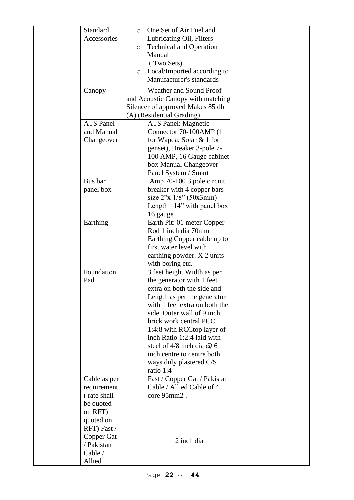| Standard<br>Accessories                                                   | One Set of Air Fuel and<br>$\circ$<br>Lubricating Oil, Filters<br><b>Technical and Operation</b><br>$\circ$<br>Manual<br>(Two Sets)<br>Local/Imported according to<br>$\circ$<br>Manufacturer's standards<br>Weather and Sound Proof                                                                                                                                           |  |
|---------------------------------------------------------------------------|--------------------------------------------------------------------------------------------------------------------------------------------------------------------------------------------------------------------------------------------------------------------------------------------------------------------------------------------------------------------------------|--|
| Canopy                                                                    | and Acoustic Canopy with matching<br>Silencer of approved Makes 85 db<br>(A) (Residential Grading)                                                                                                                                                                                                                                                                             |  |
| <b>ATS Panel</b><br>and Manual<br>Changeover                              | <b>ATS Panel: Magnetic</b><br>Connector 70-100AMP (1<br>for Wapda, Solar & 1 for<br>genset), Breaker 3-pole 7-<br>100 AMP, 16 Gauge cabinet<br>box Manual Changeover<br>Panel System / Smart                                                                                                                                                                                   |  |
| Bus bar<br>panel box                                                      | Amp 70-100 3 pole circuit<br>breaker with 4 copper bars<br>size $2''x$ 1/8" (50x3mm)<br>Length $=14$ " with panel box<br>16 gauge                                                                                                                                                                                                                                              |  |
| Earthing                                                                  | Earth Pit: 01 meter Copper<br>Rod 1 inch dia 70mm<br>Earthing Copper cable up to<br>first water level with<br>earthing powder. X 2 units<br>with boring etc.                                                                                                                                                                                                                   |  |
| Foundation<br>Pad                                                         | 3 feet height Width as per<br>the generator with 1 feet<br>extra on both the side and<br>Length as per the generator<br>with 1 feet extra on both the<br>side. Outer wall of 9 inch<br>brick work central PCC<br>1:4:8 with RCCtop layer of<br>inch Ratio 1:2:4 laid with<br>steel of $4/8$ inch dia @ 6<br>inch centre to centre both<br>ways duly plastered C/S<br>ratio 1:4 |  |
| Cable as per<br>requirement<br>(rate shall<br>be quoted<br>on RFT)        | Fast / Copper Gat / Pakistan<br>Cable / Allied Cable of 4<br>core 95mm2.                                                                                                                                                                                                                                                                                                       |  |
| quoted on<br>RFT) Fast /<br>Copper Gat<br>/ Pakistan<br>Cable /<br>Allied | 2 inch dia                                                                                                                                                                                                                                                                                                                                                                     |  |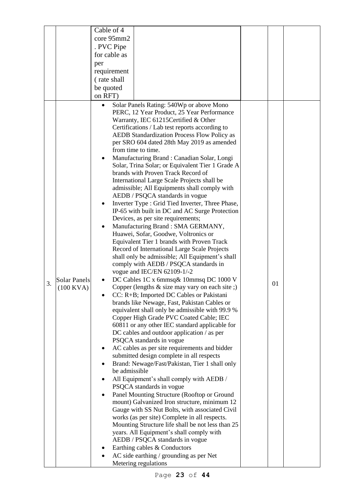|    |                     | Cable of 4                                                                                   |  |    |  |
|----|---------------------|----------------------------------------------------------------------------------------------|--|----|--|
|    |                     |                                                                                              |  |    |  |
|    |                     | core 95mm2                                                                                   |  |    |  |
|    |                     | . PVC Pipe                                                                                   |  |    |  |
|    |                     | for cable as                                                                                 |  |    |  |
|    |                     | per                                                                                          |  |    |  |
|    |                     | requirement                                                                                  |  |    |  |
|    |                     | (rate shall                                                                                  |  |    |  |
|    |                     | be quoted                                                                                    |  |    |  |
|    |                     | on RFT)                                                                                      |  |    |  |
|    |                     | Solar Panels Rating: 540Wp or above Mono                                                     |  |    |  |
|    |                     | PERC, 12 Year Product, 25 Year Performance                                                   |  |    |  |
|    |                     | Warranty, IEC 61215 Certified & Other                                                        |  |    |  |
|    |                     | Certifications / Lab test reports according to                                               |  |    |  |
|    |                     | <b>AEDB Standardization Process Flow Policy as</b>                                           |  |    |  |
|    |                     | per SRO 604 dated 28th May 2019 as amended                                                   |  |    |  |
|    |                     | from time to time.                                                                           |  |    |  |
|    |                     | Manufacturing Brand: Canadian Solar, Longi                                                   |  |    |  |
|    |                     | Solar, Trina Solar; or Equivalent Tier 1 Grade A                                             |  |    |  |
|    |                     | brands with Proven Track Record of                                                           |  |    |  |
|    |                     | International Large Scale Projects shall be                                                  |  |    |  |
|    |                     | admissible; All Equipments shall comply with                                                 |  |    |  |
|    |                     | AEDB / PSQCA standards in vogue                                                              |  |    |  |
|    |                     | Inverter Type : Grid Tied Inverter, Three Phase,                                             |  |    |  |
|    |                     | IP-65 with built in DC and AC Surge Protection                                               |  |    |  |
|    |                     | Devices, as per site requirements;                                                           |  |    |  |
|    |                     | Manufacturing Brand: SMA GERMANY,                                                            |  |    |  |
|    |                     | Huawei, Sofar, Goodwe, Voltronics or                                                         |  |    |  |
|    |                     | Equivalent Tier 1 brands with Proven Track                                                   |  |    |  |
|    |                     | Record of International Large Scale Projects                                                 |  |    |  |
|    |                     | shall only be admissible; All Equipment's shall                                              |  |    |  |
|    |                     | comply with AEDB / PSQCA standards in                                                        |  |    |  |
|    |                     | vogue and IEC/EN 62109-1/-2                                                                  |  |    |  |
| 3. | <b>Solar Panels</b> | DC Cables 1C x 6mmsq& 10mmsq DC 1000 V                                                       |  | 01 |  |
|    | $(100$ KVA)         | Copper (lengths & size may vary on each site ;)                                              |  |    |  |
|    |                     | CC: R+B; Imported DC Cables or Pakistani                                                     |  |    |  |
|    |                     | brands like Newage, Fast, Pakistan Cables or                                                 |  |    |  |
|    |                     | equivalent shall only be admissible with 99.9 %                                              |  |    |  |
|    |                     | Copper High Grade PVC Coated Cable; IEC                                                      |  |    |  |
|    |                     | 60811 or any other IEC standard applicable for<br>DC cables and outdoor application / as per |  |    |  |
|    |                     | PSQCA standards in vogue                                                                     |  |    |  |
|    |                     | AC cables as per site requirements and bidder                                                |  |    |  |
|    |                     | submitted design complete in all respects                                                    |  |    |  |
|    |                     | Brand: Newage/Fast/Pakistan, Tier 1 shall only                                               |  |    |  |
|    |                     | be admissible                                                                                |  |    |  |
|    |                     | All Equipment's shall comply with AEDB /                                                     |  |    |  |
|    |                     | PSQCA standards in vogue                                                                     |  |    |  |
|    |                     | Panel Mounting Structure (Rooftop or Ground                                                  |  |    |  |
|    |                     | mount) Galvanized Iron structure, minimum 12                                                 |  |    |  |
|    |                     | Gauge with SS Nut Bolts, with associated Civil                                               |  |    |  |
|    |                     | works (as per site) Complete in all respects.                                                |  |    |  |
|    |                     | Mounting Structure life shall be not less than 25                                            |  |    |  |
|    |                     | years. All Equipment's shall comply with                                                     |  |    |  |
|    |                     | AEDB / PSQCA standards in vogue                                                              |  |    |  |
|    |                     | Earthing cables & Conductors                                                                 |  |    |  |
|    |                     | AC side earthing / grounding as per Net                                                      |  |    |  |
|    |                     | Metering regulations                                                                         |  |    |  |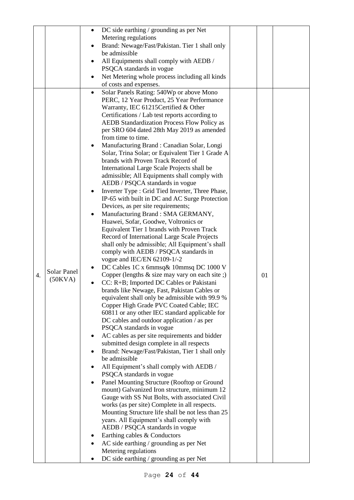|    |             | DC side earthing / grounding as per Net                                                         |    |  |
|----|-------------|-------------------------------------------------------------------------------------------------|----|--|
|    |             |                                                                                                 |    |  |
|    |             | Metering regulations                                                                            |    |  |
|    |             | Brand: Newage/Fast/Pakistan. Tier 1 shall only                                                  |    |  |
|    |             | be admissible                                                                                   |    |  |
|    |             | All Equipments shall comply with AEDB /                                                         |    |  |
|    |             | PSQCA standards in vogue                                                                        |    |  |
|    |             | Net Metering whole process including all kinds                                                  |    |  |
|    |             | of costs and expenses.                                                                          |    |  |
|    |             | Solar Panels Rating: 540Wp or above Mono                                                        |    |  |
|    |             | PERC, 12 Year Product, 25 Year Performance                                                      |    |  |
|    |             | Warranty, IEC 61215 Certified & Other                                                           |    |  |
|    |             | Certifications / Lab test reports according to                                                  |    |  |
|    |             | <b>AEDB Standardization Process Flow Policy as</b>                                              |    |  |
|    |             | per SRO 604 dated 28th May 2019 as amended                                                      |    |  |
|    |             | from time to time.                                                                              |    |  |
|    |             | Manufacturing Brand : Canadian Solar, Longi                                                     |    |  |
|    |             | Solar, Trina Solar; or Equivalent Tier 1 Grade A                                                |    |  |
|    |             | brands with Proven Track Record of                                                              |    |  |
|    |             | International Large Scale Projects shall be                                                     |    |  |
|    |             | admissible; All Equipments shall comply with                                                    |    |  |
|    |             | AEDB / PSQCA standards in vogue                                                                 |    |  |
|    |             | Inverter Type : Grid Tied Inverter, Three Phase,                                                |    |  |
|    |             | IP-65 with built in DC and AC Surge Protection<br>Devices, as per site requirements;            |    |  |
|    |             | Manufacturing Brand: SMA GERMANY,                                                               |    |  |
|    |             | Huawei, Sofar, Goodwe, Voltronics or                                                            |    |  |
|    |             | Equivalent Tier 1 brands with Proven Track                                                      |    |  |
|    |             | Record of International Large Scale Projects                                                    |    |  |
|    |             | shall only be admissible; All Equipment's shall                                                 |    |  |
|    |             | comply with AEDB / PSQCA standards in                                                           |    |  |
|    |             | vogue and IEC/EN 62109-1/-2                                                                     |    |  |
|    |             | DC Cables 1C x 6mmsq& 10mmsq DC 1000 V                                                          |    |  |
| 4. | Solar Panel | Copper (lengths $&$ size may vary on each site;)                                                | 01 |  |
|    | (50KVA)     | CC: R+B; Imported DC Cables or Pakistani                                                        |    |  |
|    |             | brands like Newage, Fast, Pakistan Cables or                                                    |    |  |
|    |             | equivalent shall only be admissible with 99.9 %                                                 |    |  |
|    |             | Copper High Grade PVC Coated Cable; IEC                                                         |    |  |
|    |             | 60811 or any other IEC standard applicable for                                                  |    |  |
|    |             | DC cables and outdoor application / as per                                                      |    |  |
|    |             | PSQCA standards in vogue                                                                        |    |  |
|    |             | AC cables as per site requirements and bidder                                                   |    |  |
|    |             | submitted design complete in all respects                                                       |    |  |
|    |             | Brand: Newage/Fast/Pakistan, Tier 1 shall only                                                  |    |  |
|    |             | be admissible                                                                                   |    |  |
|    |             | All Equipment's shall comply with AEDB /                                                        |    |  |
|    |             | PSQCA standards in vogue                                                                        |    |  |
|    |             | Panel Mounting Structure (Rooftop or Ground                                                     |    |  |
|    |             | mount) Galvanized Iron structure, minimum 12                                                    |    |  |
|    |             | Gauge with SS Nut Bolts, with associated Civil<br>works (as per site) Complete in all respects. |    |  |
|    |             | Mounting Structure life shall be not less than 25                                               |    |  |
|    |             | years. All Equipment's shall comply with                                                        |    |  |
|    |             | AEDB / PSQCA standards in vogue                                                                 |    |  |
|    |             | Earthing cables & Conductors                                                                    |    |  |
|    |             | AC side earthing / grounding as per Net                                                         |    |  |
|    |             | Metering regulations                                                                            |    |  |
|    |             | DC side earthing / grounding as per Net                                                         |    |  |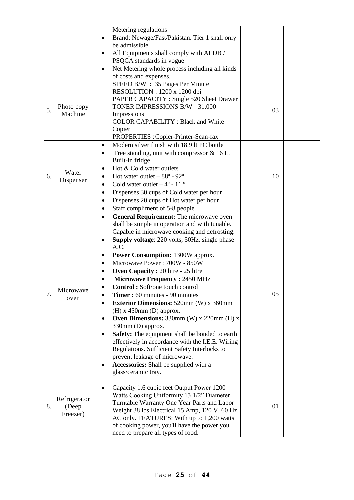|    |                                   | Metering regulations<br>Brand: Newage/Fast/Pakistan. Tier 1 shall only<br>be admissible<br>All Equipments shall comply with AEDB /<br>PSQCA standards in vogue<br>Net Metering whole process including all kinds<br>of costs and expenses.                                                                                                                                                                                                                                                                                                                                                                                                                                                                                                                                                                                                                                |    |  |
|----|-----------------------------------|---------------------------------------------------------------------------------------------------------------------------------------------------------------------------------------------------------------------------------------------------------------------------------------------------------------------------------------------------------------------------------------------------------------------------------------------------------------------------------------------------------------------------------------------------------------------------------------------------------------------------------------------------------------------------------------------------------------------------------------------------------------------------------------------------------------------------------------------------------------------------|----|--|
| 5. | Photo copy<br>Machine             | SPEED B/W : 35 Pages Per Minute<br>RESOLUTION : 1200 x 1200 dpi<br>PAPER CAPACITY : Single 520 Sheet Drawer<br>TONER IMPRESSIONS B/W 31,000<br>Impressions<br><b>COLOR CAPABILITY: Black and White</b><br>Copier<br>PROPERTIES : Copier-Printer-Scan-fax                                                                                                                                                                                                                                                                                                                                                                                                                                                                                                                                                                                                                  | 03 |  |
| 6. | Water<br>Dispenser                | Modern silver finish with 18.9 lt PC bottle<br>$\bullet$<br>Free standing, unit with compressor $& 16$ Lt<br>٠<br>Built-in fridge<br>Hot & Cold water outlets<br>Hot water outlet $-88^\circ$ - 92°<br>Cold water outlet $-4^{\circ}$ - 11 $^{\circ}$<br>Dispenses 30 cups of Cold water per hour<br>$\bullet$<br>Dispenses 20 cups of Hot water per hour<br>$\bullet$<br>Staff compliment of 5-8 people<br>$\bullet$                                                                                                                                                                                                                                                                                                                                                                                                                                                     | 10 |  |
| 7. | Microwave<br>oven                 | General Requirement: The microwave oven<br>$\bullet$<br>shall be simple in operation and with tunable.<br>Capable in microwave cooking and defrosting.<br>Supply voltage: 220 volts, 50Hz. single phase<br>A.C.<br><b>Power Consumption: 1300W approx.</b><br>Microwave Power: 700W - 850W<br><b>Oven Capacity: 20 litre - 25 litre</b><br>$\bullet$<br>Microwave Frequency: 2450 MHz<br>Control: Soft/one touch control<br><b>Timer:</b> 60 minutes - 90 minutes<br><b>Exterior Dimensions: 520mm (W) x 360mm</b><br>$(H)$ x 450mm $(D)$ approx.<br>Oven Dimensions: 330mm (W) x 220mm (H) x<br>330mm (D) approx.<br>Safety: The equipment shall be bonded to earth<br>effectively in accordance with the I.E.E. Wiring<br>Regulations. Sufficient Safety Interlocks to<br>prevent leakage of microwave.<br>Accessories: Shall be supplied with a<br>glass/ceramic tray. | 05 |  |
| 8. | Refrigerator<br>(Deep<br>Freezer) | Capacity 1.6 cubic feet Output Power 1200<br>Watts Cooking Uniformity 13 1/2" Diameter<br>Turntable Warranty One Year Parts and Labor<br>Weight 38 lbs Electrical 15 Amp, 120 V, 60 Hz,<br>AC only. FEATURES: With up to 1,200 watts<br>of cooking power, you'll have the power you<br>need to prepare all types of food.                                                                                                                                                                                                                                                                                                                                                                                                                                                                                                                                                 | 01 |  |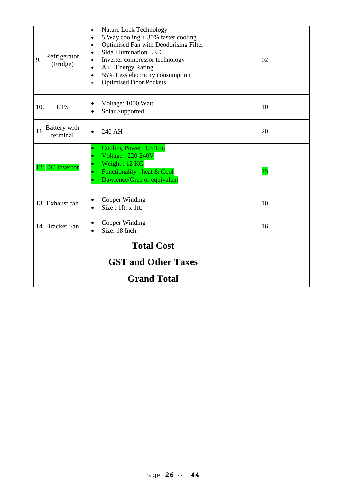| 9.                         | Refrigerator<br>(Fridge) | Nature Lock Technology<br>$\bullet$<br>5 Way cooling $+30\%$ faster cooling<br>Optimised Fan with Deodorising Filter<br>$\bullet$<br><b>Side Illumination LED</b><br>$\bullet$<br>Inverter compressor technology<br>$\bullet$<br>$A++$ Energy Rating<br>$\bullet$<br>55% Less electricity consumption<br>$\bullet$<br>Optimised Door Pockets.<br>$\bullet$ | 02 |  |
|----------------------------|--------------------------|------------------------------------------------------------------------------------------------------------------------------------------------------------------------------------------------------------------------------------------------------------------------------------------------------------------------------------------------------------|----|--|
| 10.                        | <b>UPS</b>               | Voltage: 1000 Watt<br>Solar Supported                                                                                                                                                                                                                                                                                                                      | 10 |  |
| 11.                        | Battery with<br>terminal | 240 AH                                                                                                                                                                                                                                                                                                                                                     | 20 |  |
|                            | 12. DC Invertor          | <b>Cooling Power: 1.5 Ton</b><br><b>Voltage: 220-240V</b><br>Weight: 12 KG<br>Functionality : heat & Cool<br>Dawlence/Gree or equivalent                                                                                                                                                                                                                   | 15 |  |
|                            | 13. Exhaust fan          | Copper Winding<br>Size: 1ft. x 1ft.                                                                                                                                                                                                                                                                                                                        | 10 |  |
|                            | 14. Bracket Fan          | Copper Winding<br>Size: 18 Inch.                                                                                                                                                                                                                                                                                                                           | 16 |  |
| <b>Total Cost</b>          |                          |                                                                                                                                                                                                                                                                                                                                                            |    |  |
| <b>GST and Other Taxes</b> |                          |                                                                                                                                                                                                                                                                                                                                                            |    |  |
| <b>Grand Total</b>         |                          |                                                                                                                                                                                                                                                                                                                                                            |    |  |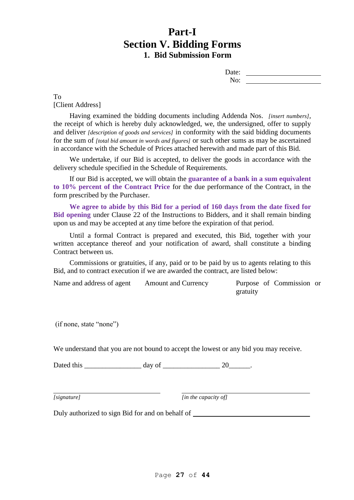# **Part-I Section V. Bidding Forms 1. Bid Submission Form**

| Date: |  |
|-------|--|
| No:   |  |

To [Client Address]

Having examined the bidding documents including Addenda Nos. *[insert numbers],*  the receipt of which is hereby duly acknowledged, we, the undersigned, offer to supply and deliver *[description of goods and services]* in conformity with the said bidding documents for the sum of *[total bid amount in words and figures]* or such other sums as may be ascertained in accordance with the Schedule of Prices attached herewith and made part of this Bid.

We undertake, if our Bid is accepted, to deliver the goods in accordance with the delivery schedule specified in the Schedule of Requirements.

If our Bid is accepted, we will obtain the **guarantee of a bank in a sum equivalent to 10% percent of the Contract Price** for the due performance of the Contract, in the form prescribed by the Purchaser.

**We agree to abide by this Bid for a period of 160 days from the date fixed for Bid opening** under Clause 22 of the Instructions to Bidders, and it shall remain binding upon us and may be accepted at any time before the expiration of that period.

Until a formal Contract is prepared and executed, this Bid, together with your written acceptance thereof and your notification of award, shall constitute a binding Contract between us.

Commissions or gratuities, if any, paid or to be paid by us to agents relating to this Bid, and to contract execution if we are awarded the contract, are listed below:

| Name and address of agent | <b>Amount and Currency</b> |          | Purpose of Commission or |  |
|---------------------------|----------------------------|----------|--------------------------|--|
|                           |                            | gratuity |                          |  |

(if none, state "none")

We understand that you are not bound to accept the lowest or any bid you may receive.

Dated this  $\frac{day \text{ of } 20}{x}$ .

*[signature] [in the capacity of]*

Duly authorized to sign Bid for and on behalf of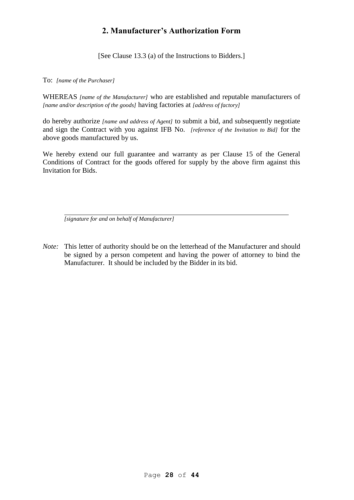# **2. Manufacturer's Authorization Form**

[See Clause 13.3 (a) of the Instructions to Bidders.]

To: *[name of the Purchaser]*

WHEREAS *[name of the Manufacturer]* who are established and reputable manufacturers of *[name and/or description of the goods]* having factories at *[address of factory]*

do hereby authorize *[name and address of Agent]* to submit a bid, and subsequently negotiate and sign the Contract with you against IFB No. *[reference of the Invitation to Bid]* for the above goods manufactured by us.

We hereby extend our full guarantee and warranty as per Clause 15 of the General Conditions of Contract for the goods offered for supply by the above firm against this Invitation for Bids.

*[signature for and on behalf of Manufacturer]*

*Note:* This letter of authority should be on the letterhead of the Manufacturer and should be signed by a person competent and having the power of attorney to bind the Manufacturer. It should be included by the Bidder in its bid.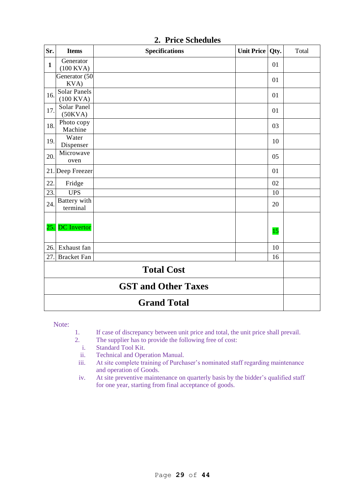| Sr.                        | <b>Items</b>                       | <b>Specifications</b> | <b>Unit Price</b> | Qty. | Total |  |
|----------------------------|------------------------------------|-----------------------|-------------------|------|-------|--|
| $\mathbf{1}$               | Generator<br>$(100$ KVA)           |                       |                   | 01   |       |  |
|                            | Generator (50<br>KVA)              |                       |                   | 01   |       |  |
| 16.                        | <b>Solar Panels</b><br>$(100$ KVA) |                       |                   | 01   |       |  |
| 17.                        | Solar Panel<br>(50KVA)             |                       |                   | 01   |       |  |
| 18.                        | Photo copy<br>Machine              |                       |                   | 03   |       |  |
| 19.                        | Water<br>Dispenser                 |                       |                   | 10   |       |  |
| 20.                        | Microwave<br>oven                  |                       |                   | 05   |       |  |
|                            | 21. Deep Freezer                   |                       |                   | 01   |       |  |
| 22.                        | Fridge                             |                       |                   | 02   |       |  |
| 23.                        | <b>UPS</b>                         |                       |                   | 10   |       |  |
| 24.                        | Battery with<br>terminal           |                       |                   | 20   |       |  |
| 25.                        | <b>DC</b> Invertor                 |                       |                   | 15   |       |  |
| 26.                        | Exhaust fan                        |                       |                   | 10   |       |  |
| 27.                        | <b>Bracket Fan</b>                 |                       |                   | 16   |       |  |
| <b>Total Cost</b>          |                                    |                       |                   |      |       |  |
| <b>GST and Other Taxes</b> |                                    |                       |                   |      |       |  |
|                            | <b>Grand Total</b>                 |                       |                   |      |       |  |

**2. Price Schedules**

Note:

- 1. If case of discrepancy between unit price and total, the unit price shall prevail.
- 2. The supplier has to provide the following free of cost:<br>
i. Standard Tool Kit.
	- Standard Tool Kit.
	- ii. Technical and Operation Manual.
	- iii. At site complete training of Purchaser's nominated staff regarding maintenance and operation of Goods.
	- iv. At site preventive maintenance on quarterly basis by the bidder's qualified staff for one year, starting from final acceptance of goods.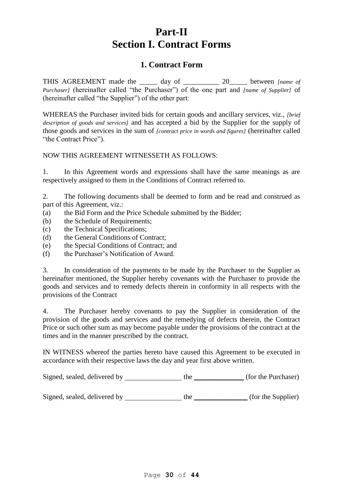# **Part-II Section I. Contract Forms**

# **1. Contract Form**

THIS AGREEMENT made the \_\_\_\_\_ day of \_\_\_\_\_\_\_\_\_\_ 20\_\_\_\_\_ between *[name of Purchaser]* (hereinafter called "the Purchaser") of the one part and *[name of Supplier]* of (hereinafter called "the Supplier") of the other part:

WHEREAS the Purchaser invited bids for certain goods and ancillary services, viz., *[brief description of goods and services]* and has accepted a bid by the Supplier for the supply of those goods and services in the sum of *[contract price in words and figures]* (hereinafter called "the Contract Price").

# NOW THIS AGREEMENT WITNESSETH AS FOLLOWS:

1. In this Agreement words and expressions shall have the same meanings as are respectively assigned to them in the Conditions of Contract referred to.

2. The following documents shall be deemed to form and be read and construed as part of this Agreement, viz.:

- (a) the Bid Form and the Price Schedule submitted by the Bidder;
- (b) the Schedule of Requirements;
- (c) the Technical Specifications;
- (d) the General Conditions of Contract;
- (e) the Special Conditions of Contract; and
- (f) the Purchaser's Notification of Award.

3. In consideration of the payments to be made by the Purchaser to the Supplier as hereinafter mentioned, the Supplier hereby covenants with the Purchaser to provide the goods and services and to remedy defects therein in conformity in all respects with the provisions of the Contract

4. The Purchaser hereby covenants to pay the Supplier in consideration of the provision of the goods and services and the remedying of defects therein, the Contract Price or such other sum as may become payable under the provisions of the contract at the times and in the manner prescribed by the contract.

IN WITNESS whereof the parties hereto have caused this Agreement to be executed in accordance with their respective laws the day and year first above written.

Signed, sealed, delivered by the \_\_\_\_\_\_\_\_\_\_\_\_\_\_ (for the Purchaser)

Signed, sealed, delivered by the \_\_\_\_\_\_\_\_\_\_\_\_\_\_\_ (for the Supplier)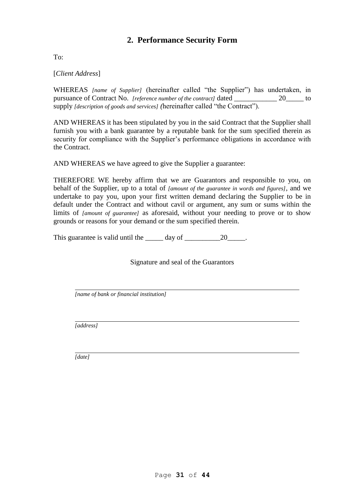# **2. Performance Security Form**

 $To^{\dagger}$ 

[*Client Address*]

WHEREAS *[name of Supplier]* (hereinafter called "the Supplier") has undertaken, in pursuance of Contract No. *[reference number of the contract]* dated 20 to supply *[description of goods and services] (*hereinafter called "the Contract").

AND WHEREAS it has been stipulated by you in the said Contract that the Supplier shall furnish you with a bank guarantee by a reputable bank for the sum specified therein as security for compliance with the Supplier's performance obligations in accordance with the Contract.

AND WHEREAS we have agreed to give the Supplier a guarantee:

THEREFORE WE hereby affirm that we are Guarantors and responsible to you, on behalf of the Supplier, up to a total of *[amount of the guarantee in words and figures],* and we undertake to pay you, upon your first written demand declaring the Supplier to be in default under the Contract and without cavil or argument, any sum or sums within the limits of *[amount of guarantee]* as aforesaid, without your needing to prove or to show grounds or reasons for your demand or the sum specified therein.

This guarantee is valid until the day of 20 and 20 and 20 and 20 and 20 and 20 and 20 and 20 and 20

Signature and seal of the Guarantors

*[name of bank or financial institution]*

*[address]*

*[date]*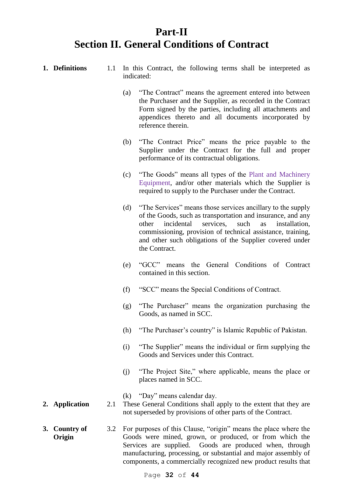# **Part-II Section II. General Conditions of Contract**

|    | 1. Definitions              | 1.1 | In this Contract, the following terms shall be interpreted as<br>indicated: |                                                                                                                                                                                                                                                                                                                                           |
|----|-----------------------------|-----|-----------------------------------------------------------------------------|-------------------------------------------------------------------------------------------------------------------------------------------------------------------------------------------------------------------------------------------------------------------------------------------------------------------------------------------|
|    |                             |     | (a)                                                                         | "The Contract" means the agreement entered into between<br>the Purchaser and the Supplier, as recorded in the Contract<br>Form signed by the parties, including all attachments and<br>appendices thereto and all documents incorporated by<br>reference therein.                                                                         |
|    |                             |     | (b)                                                                         | "The Contract Price" means the price payable to the<br>Supplier under the Contract for the full and proper<br>performance of its contractual obligations.                                                                                                                                                                                 |
|    |                             |     | (c)                                                                         | "The Goods" means all types of the Plant and Machinery<br>Equipment, and/or other materials which the Supplier is<br>required to supply to the Purchaser under the Contract.                                                                                                                                                              |
|    |                             |     | (d)                                                                         | "The Services" means those services ancillary to the supply<br>of the Goods, such as transportation and insurance, and any<br>incidental<br>services,<br>such<br>other<br>installation,<br>as<br>commissioning, provision of technical assistance, training,<br>and other such obligations of the Supplier covered under<br>the Contract. |
|    |                             |     | (e)                                                                         | means the General Conditions of Contract<br>"GCC"<br>contained in this section.                                                                                                                                                                                                                                                           |
|    |                             |     | (f)                                                                         | "SCC" means the Special Conditions of Contract.                                                                                                                                                                                                                                                                                           |
|    |                             |     | (g)                                                                         | "The Purchaser" means the organization purchasing the<br>Goods, as named in SCC.                                                                                                                                                                                                                                                          |
|    |                             |     | (h)                                                                         | "The Purchaser's country" is Islamic Republic of Pakistan.                                                                                                                                                                                                                                                                                |
|    |                             |     | (i)                                                                         | "The Supplier" means the individual or firm supplying the<br>Goods and Services under this Contract.                                                                                                                                                                                                                                      |
|    |                             |     | (j)                                                                         | "The Project Site," where applicable, means the place or<br>places named in SCC.                                                                                                                                                                                                                                                          |
|    | 2. Application              | 2.1 |                                                                             | (k) "Day" means calendar day.<br>These General Conditions shall apply to the extent that they are<br>not superseded by provisions of other parts of the Contract.                                                                                                                                                                         |
| 3. | <b>Country of</b><br>Origin | 3.2 |                                                                             | For purposes of this Clause, "origin" means the place where the<br>Goods were mined, grown, or produced, or from which the<br>Goods are produced when, through<br>Services are supplied.<br>manufacturing, processing, or substantial and major assembly of<br>components, a commercially recognized new product results that             |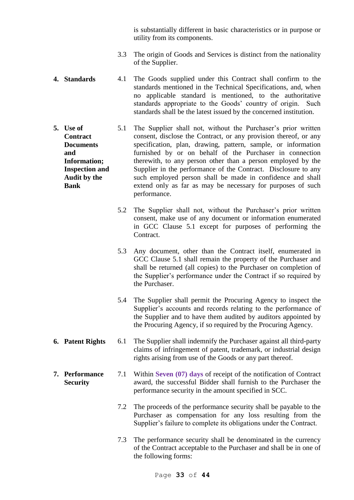is substantially different in basic characteristics or in purpose or utility from its components.

- 3.3 The origin of Goods and Services is distinct from the nationality of the Supplier.
- **4. Standards** 4.1 The Goods supplied under this Contract shall confirm to the standards mentioned in the Technical Specifications, and, when no applicable standard is mentioned, to the authoritative standards appropriate to the Goods' country of origin. Such standards shall be the latest issued by the concerned institution.
- **5. Use of Contract Documents and Information; Inspection and Audit by the Bank** 5.1 The Supplier shall not, without the Purchaser's prior written consent, disclose the Contract, or any provision thereof, or any specification, plan, drawing, pattern, sample, or information furnished by or on behalf of the Purchaser in connection therewith, to any person other than a person employed by the Supplier in the performance of the Contract. Disclosure to any such employed person shall be made in confidence and shall extend only as far as may be necessary for purposes of such performance.
	- 5.2 The Supplier shall not, without the Purchaser's prior written consent, make use of any document or information enumerated in GCC Clause 5.1 except for purposes of performing the Contract.
	- 5.3 Any document, other than the Contract itself, enumerated in GCC Clause 5.1 shall remain the property of the Purchaser and shall be returned (all copies) to the Purchaser on completion of the Supplier's performance under the Contract if so required by the Purchaser.
	- 5.4 The Supplier shall permit the Procuring Agency to inspect the Supplier's accounts and records relating to the performance of the Supplier and to have them audited by auditors appointed by the Procuring Agency, if so required by the Procuring Agency.
- **6. Patent Rights** 6.1 The Supplier shall indemnify the Purchaser against all third-party claims of infringement of patent, trademark, or industrial design rights arising from use of the Goods or any part thereof.
- **7. Performance Security** 7.1 Within **Seven (07) days** of receipt of the notification of Contract award, the successful Bidder shall furnish to the Purchaser the performance security in the amount specified in SCC.
	- 7.2 The proceeds of the performance security shall be payable to the Purchaser as compensation for any loss resulting from the Supplier's failure to complete its obligations under the Contract.
	- 7.3 The performance security shall be denominated in the currency of the Contract acceptable to the Purchaser and shall be in one of the following forms: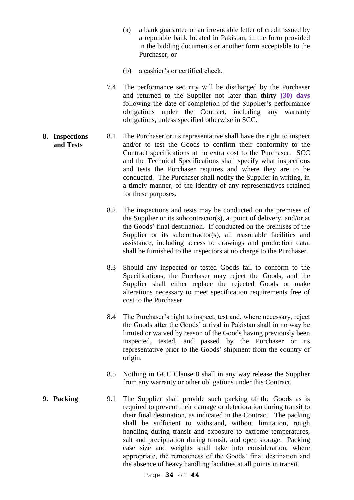- (a) a bank guarantee or an irrevocable letter of credit issued by a reputable bank located in Pakistan, in the form provided in the bidding documents or another form acceptable to the Purchaser; or
- (b) a cashier's or certified check.
- 7.4 The performance security will be discharged by the Purchaser and returned to the Supplier not later than thirty **(30) days** following the date of completion of the Supplier's performance obligations under the Contract, including any warranty obligations, unless specified otherwise in SCC.

#### **8. Inspections and Tests** 8.1 The Purchaser or its representative shall have the right to inspect and/or to test the Goods to confirm their conformity to the Contract specifications at no extra cost to the Purchaser. SCC and the Technical Specifications shall specify what inspections and tests the Purchaser requires and where they are to be conducted. The Purchaser shall notify the Supplier in writing, in a timely manner, of the identity of any representatives retained for these purposes.

- 8.2 The inspections and tests may be conducted on the premises of the Supplier or its subcontractor(s), at point of delivery, and/or at the Goods' final destination. If conducted on the premises of the Supplier or its subcontractor(s), all reasonable facilities and assistance, including access to drawings and production data, shall be furnished to the inspectors at no charge to the Purchaser.
- 8.3 Should any inspected or tested Goods fail to conform to the Specifications, the Purchaser may reject the Goods, and the Supplier shall either replace the rejected Goods or make alterations necessary to meet specification requirements free of cost to the Purchaser.
- 8.4 The Purchaser's right to inspect, test and, where necessary, reject the Goods after the Goods' arrival in Pakistan shall in no way be limited or waived by reason of the Goods having previously been inspected, tested, and passed by the Purchaser or its representative prior to the Goods' shipment from the country of origin.
- 8.5 Nothing in GCC Clause 8 shall in any way release the Supplier from any warranty or other obligations under this Contract.
- **9. Packing** 9.1 The Supplier shall provide such packing of the Goods as is required to prevent their damage or deterioration during transit to their final destination, as indicated in the Contract. The packing shall be sufficient to withstand, without limitation, rough handling during transit and exposure to extreme temperatures, salt and precipitation during transit, and open storage. Packing case size and weights shall take into consideration, where appropriate, the remoteness of the Goods' final destination and the absence of heavy handling facilities at all points in transit.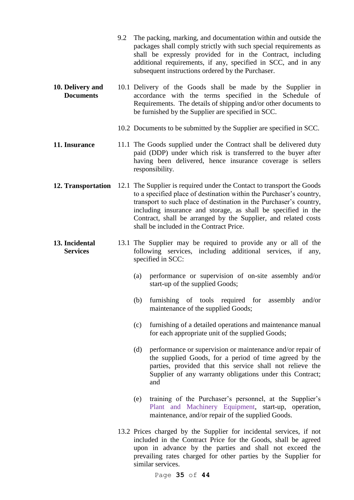- 9.2 The packing, marking, and documentation within and outside the packages shall comply strictly with such special requirements as shall be expressly provided for in the Contract, including additional requirements, if any, specified in SCC, and in any subsequent instructions ordered by the Purchaser.
- **10. Delivery and Documents** 10.1 Delivery of the Goods shall be made by the Supplier in accordance with the terms specified in the Schedule of Requirements. The details of shipping and/or other documents to be furnished by the Supplier are specified in SCC.
	- 10.2 Documents to be submitted by the Supplier are specified in SCC.
- **11. Insurance** 11.1 The Goods supplied under the Contract shall be delivered duty paid (DDP) under which risk is transferred to the buyer after having been delivered, hence insurance coverage is sellers responsibility.
- **12. Transportation** 12.1 The Supplier is required under the Contact to transport the Goods to a specified place of destination within the Purchaser's country, transport to such place of destination in the Purchaser's country, including insurance and storage, as shall be specified in the Contract, shall be arranged by the Supplier, and related costs shall be included in the Contract Price.
- **13. Incidental Services** 13.1 The Supplier may be required to provide any or all of the following services, including additional services, if any, specified in SCC:
	- (a) performance or supervision of on-site assembly and/or start-up of the supplied Goods;
	- (b) furnishing of tools required for assembly and/or maintenance of the supplied Goods;
	- (c) furnishing of a detailed operations and maintenance manual for each appropriate unit of the supplied Goods;
	- (d) performance or supervision or maintenance and/or repair of the supplied Goods, for a period of time agreed by the parties, provided that this service shall not relieve the Supplier of any warranty obligations under this Contract; and
	- (e) training of the Purchaser's personnel, at the Supplier's Plant and Machinery Equipment, start-up, operation, maintenance, and/or repair of the supplied Goods.
	- 13.2 Prices charged by the Supplier for incidental services, if not included in the Contract Price for the Goods, shall be agreed upon in advance by the parties and shall not exceed the prevailing rates charged for other parties by the Supplier for similar services.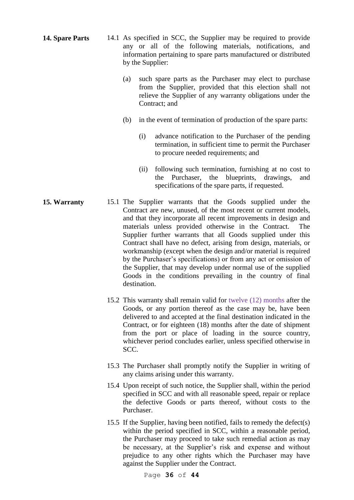- **14. Spare Parts** 14.1 As specified in SCC, the Supplier may be required to provide any or all of the following materials, notifications, and information pertaining to spare parts manufactured or distributed by the Supplier:
	- (a) such spare parts as the Purchaser may elect to purchase from the Supplier, provided that this election shall not relieve the Supplier of any warranty obligations under the Contract; and
	- (b) in the event of termination of production of the spare parts:
		- (i) advance notification to the Purchaser of the pending termination, in sufficient time to permit the Purchaser to procure needed requirements; and
		- (ii) following such termination, furnishing at no cost to the Purchaser, the blueprints, drawings, and specifications of the spare parts, if requested.
- **15. Warranty** 15.1 The Supplier warrants that the Goods supplied under the Contract are new, unused, of the most recent or current models, and that they incorporate all recent improvements in design and materials unless provided otherwise in the Contract. The Supplier further warrants that all Goods supplied under this Contract shall have no defect, arising from design, materials, or workmanship (except when the design and/or material is required by the Purchaser's specifications) or from any act or omission of the Supplier, that may develop under normal use of the supplied Goods in the conditions prevailing in the country of final destination.
	- 15.2 This warranty shall remain valid for twelve (12) months after the Goods, or any portion thereof as the case may be, have been delivered to and accepted at the final destination indicated in the Contract, or for eighteen (18) months after the date of shipment from the port or place of loading in the source country, whichever period concludes earlier, unless specified otherwise in SCC.
	- 15.3 The Purchaser shall promptly notify the Supplier in writing of any claims arising under this warranty.
	- 15.4 Upon receipt of such notice, the Supplier shall, within the period specified in SCC and with all reasonable speed, repair or replace the defective Goods or parts thereof, without costs to the Purchaser.
	- 15.5 If the Supplier, having been notified, fails to remedy the defect(s) within the period specified in SCC, within a reasonable period, the Purchaser may proceed to take such remedial action as may be necessary, at the Supplier's risk and expense and without prejudice to any other rights which the Purchaser may have against the Supplier under the Contract.

Page **36** of **44**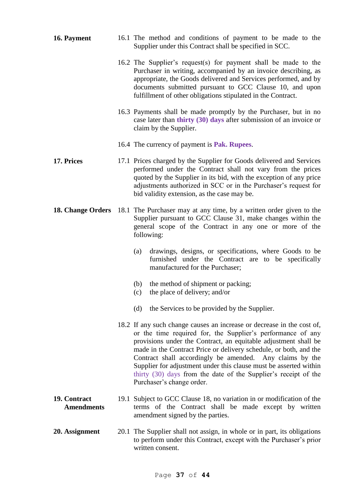| 16. Payment                       | 16.1 The method and conditions of payment to be made to the<br>Supplier under this Contract shall be specified in SCC.                                                                                                                                                                                                                                                                                                                                                                                         |  |
|-----------------------------------|----------------------------------------------------------------------------------------------------------------------------------------------------------------------------------------------------------------------------------------------------------------------------------------------------------------------------------------------------------------------------------------------------------------------------------------------------------------------------------------------------------------|--|
|                                   | 16.2 The Supplier's request(s) for payment shall be made to the<br>Purchaser in writing, accompanied by an invoice describing, as<br>appropriate, the Goods delivered and Services performed, and by<br>documents submitted pursuant to GCC Clause 10, and upon<br>fulfillment of other obligations stipulated in the Contract.                                                                                                                                                                                |  |
|                                   | 16.3 Payments shall be made promptly by the Purchaser, but in no<br>case later than thirty (30) days after submission of an invoice or<br>claim by the Supplier.                                                                                                                                                                                                                                                                                                                                               |  |
|                                   | 16.4 The currency of payment is <b>Pak. Rupees</b> .                                                                                                                                                                                                                                                                                                                                                                                                                                                           |  |
| 17. Prices                        | 17.1 Prices charged by the Supplier for Goods delivered and Services<br>performed under the Contract shall not vary from the prices<br>quoted by the Supplier in its bid, with the exception of any price<br>adjustments authorized in SCC or in the Purchaser's request for<br>bid validity extension, as the case may be.                                                                                                                                                                                    |  |
| 18. Change Orders                 | 18.1 The Purchaser may at any time, by a written order given to the<br>Supplier pursuant to GCC Clause 31, make changes within the<br>general scope of the Contract in any one or more of the<br>following:                                                                                                                                                                                                                                                                                                    |  |
|                                   | drawings, designs, or specifications, where Goods to be<br>(a)<br>furnished under the Contract are to be specifically<br>manufactured for the Purchaser;                                                                                                                                                                                                                                                                                                                                                       |  |
|                                   | the method of shipment or packing;<br>(b)<br>the place of delivery; and/or<br>(c)                                                                                                                                                                                                                                                                                                                                                                                                                              |  |
|                                   | the Services to be provided by the Supplier.<br>(d)                                                                                                                                                                                                                                                                                                                                                                                                                                                            |  |
|                                   | 18.2 If any such change causes an increase or decrease in the cost of,<br>or the time required for, the Supplier's performance of any<br>provisions under the Contract, an equitable adjustment shall be<br>made in the Contract Price or delivery schedule, or both, and the<br>Contract shall accordingly be amended. Any claims by the<br>Supplier for adjustment under this clause must be asserted within<br>thirty (30) days from the date of the Supplier's receipt of the<br>Purchaser's change order. |  |
| 19. Contract<br><b>Amendments</b> | 19.1 Subject to GCC Clause 18, no variation in or modification of the<br>terms of the Contract shall be made except by written<br>amendment signed by the parties.                                                                                                                                                                                                                                                                                                                                             |  |
| 20. Assignment                    | 20.1 The Supplier shall not assign, in whole or in part, its obligations<br>to perform under this Contract, except with the Purchaser's prior<br>written consent.                                                                                                                                                                                                                                                                                                                                              |  |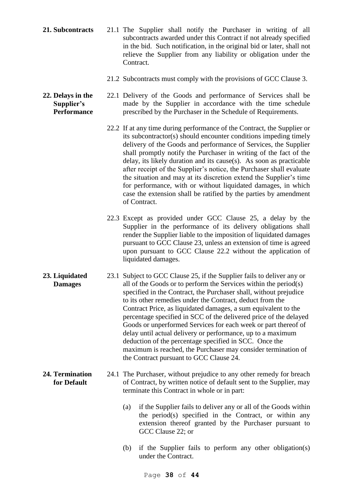- **21. Subcontracts** 21.1 The Supplier shall notify the Purchaser in writing of all subcontracts awarded under this Contract if not already specified in the bid. Such notification, in the original bid or later, shall not relieve the Supplier from any liability or obligation under the Contract.
	- 21.2 Subcontracts must comply with the provisions of GCC Clause 3.
- **22. Delays in the Supplier's Performance** 22.1 Delivery of the Goods and performance of Services shall be made by the Supplier in accordance with the time schedule prescribed by the Purchaser in the Schedule of Requirements.
	- 22.2 If at any time during performance of the Contract, the Supplier or its subcontractor(s) should encounter conditions impeding timely delivery of the Goods and performance of Services, the Supplier shall promptly notify the Purchaser in writing of the fact of the delay, its likely duration and its cause(s). As soon as practicable after receipt of the Supplier's notice, the Purchaser shall evaluate the situation and may at its discretion extend the Supplier's time for performance, with or without liquidated damages, in which case the extension shall be ratified by the parties by amendment of Contract.
	- 22.3 Except as provided under GCC Clause 25, a delay by the Supplier in the performance of its delivery obligations shall render the Supplier liable to the imposition of liquidated damages pursuant to GCC Clause 23, unless an extension of time is agreed upon pursuant to GCC Clause 22.2 without the application of liquidated damages.
- **23. Liquidated Damages** 23.1 Subject to GCC Clause 25, if the Supplier fails to deliver any or all of the Goods or to perform the Services within the period(s) specified in the Contract, the Purchaser shall, without prejudice to its other remedies under the Contract, deduct from the Contract Price, as liquidated damages, a sum equivalent to the percentage specified in SCC of the delivered price of the delayed Goods or unperformed Services for each week or part thereof of delay until actual delivery or performance, up to a maximum deduction of the percentage specified in SCC. Once the maximum is reached, the Purchaser may consider termination of the Contract pursuant to GCC Clause 24.
- **24. Termination for Default** 24.1 The Purchaser, without prejudice to any other remedy for breach of Contract, by written notice of default sent to the Supplier, may terminate this Contract in whole or in part:
	- (a) if the Supplier fails to deliver any or all of the Goods within the period(s) specified in the Contract, or within any extension thereof granted by the Purchaser pursuant to GCC Clause 22; or
	- (b) if the Supplier fails to perform any other obligation(s) under the Contract.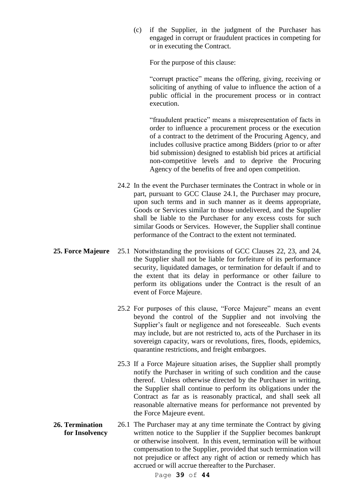(c) if the Supplier, in the judgment of the Purchaser has engaged in corrupt or fraudulent practices in competing for or in executing the Contract.

For the purpose of this clause:

"corrupt practice" means the offering, giving, receiving or soliciting of anything of value to influence the action of a public official in the procurement process or in contract execution.

"fraudulent practice" means a misrepresentation of facts in order to influence a procurement process or the execution of a contract to the detriment of the Procuring Agency, and includes collusive practice among Bidders (prior to or after bid submission) designed to establish bid prices at artificial non-competitive levels and to deprive the Procuring Agency of the benefits of free and open competition.

- 24.2 In the event the Purchaser terminates the Contract in whole or in part, pursuant to GCC Clause 24.1, the Purchaser may procure, upon such terms and in such manner as it deems appropriate, Goods or Services similar to those undelivered, and the Supplier shall be liable to the Purchaser for any excess costs for such similar Goods or Services. However, the Supplier shall continue performance of the Contract to the extent not terminated.
- **25. Force Majeure** 25.1 Notwithstanding the provisions of GCC Clauses 22, 23, and 24, the Supplier shall not be liable for forfeiture of its performance security, liquidated damages, or termination for default if and to the extent that its delay in performance or other failure to perform its obligations under the Contract is the result of an event of Force Majeure.
	- 25.2 For purposes of this clause, "Force Majeure" means an event beyond the control of the Supplier and not involving the Supplier's fault or negligence and not foreseeable. Such events may include, but are not restricted to, acts of the Purchaser in its sovereign capacity, wars or revolutions, fires, floods, epidemics, quarantine restrictions, and freight embargoes.
	- 25.3 If a Force Majeure situation arises, the Supplier shall promptly notify the Purchaser in writing of such condition and the cause thereof. Unless otherwise directed by the Purchaser in writing, the Supplier shall continue to perform its obligations under the Contract as far as is reasonably practical, and shall seek all reasonable alternative means for performance not prevented by the Force Majeure event.
- **26. Termination for Insolvency** 26.1 The Purchaser may at any time terminate the Contract by giving written notice to the Supplier if the Supplier becomes bankrupt or otherwise insolvent. In this event, termination will be without compensation to the Supplier, provided that such termination will not prejudice or affect any right of action or remedy which has accrued or will accrue thereafter to the Purchaser.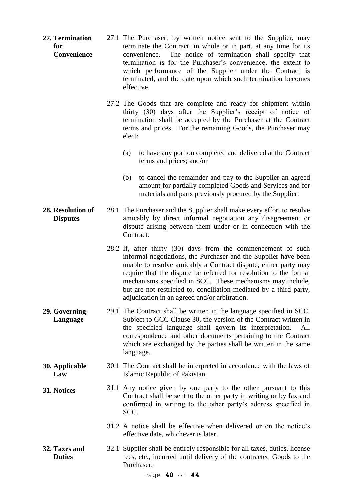- **27. Termination for Convenience** 27.1 The Purchaser, by written notice sent to the Supplier, may terminate the Contract, in whole or in part, at any time for its convenience. The notice of termination shall specify that termination is for the Purchaser's convenience, the extent to which performance of the Supplier under the Contract is terminated, and the date upon which such termination becomes effective.
	- 27.2 The Goods that are complete and ready for shipment within thirty (30) days after the Supplier's receipt of notice of termination shall be accepted by the Purchaser at the Contract terms and prices. For the remaining Goods, the Purchaser may elect:
		- (a) to have any portion completed and delivered at the Contract terms and prices; and/or
		- (b) to cancel the remainder and pay to the Supplier an agreed amount for partially completed Goods and Services and for materials and parts previously procured by the Supplier.
- **28. Resolution of Disputes** 28.1 The Purchaser and the Supplier shall make every effort to resolve amicably by direct informal negotiation any disagreement or dispute arising between them under or in connection with the Contract.
	- 28.2 If, after thirty (30) days from the commencement of such informal negotiations, the Purchaser and the Supplier have been unable to resolve amicably a Contract dispute, either party may require that the dispute be referred for resolution to the formal mechanisms specified in SCC. These mechanisms may include, but are not restricted to, conciliation mediated by a third party, adjudication in an agreed and/or arbitration.
- **29. Governing Language** 29.1 The Contract shall be written in the language specified in SCC. Subject to GCC Clause 30, the version of the Contract written in the specified language shall govern its interpretation. All correspondence and other documents pertaining to the Contract which are exchanged by the parties shall be written in the same language.
- **30. Applicable Law** 30.1 The Contract shall be interpreted in accordance with the laws of Islamic Republic of Pakistan.
- **31. Notices** 31.1 Any notice given by one party to the other pursuant to this Contract shall be sent to the other party in writing or by fax and confirmed in writing to the other party's address specified in SCC.
	- 31.2 A notice shall be effective when delivered or on the notice's effective date, whichever is later.
- **32. Taxes and Duties** 32.1 Supplier shall be entirely responsible for all taxes, duties, license fees, etc., incurred until delivery of the contracted Goods to the Purchaser.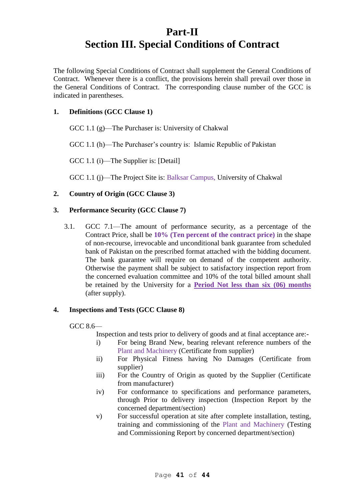# **Part-II Section III. Special Conditions of Contract**

The following Special Conditions of Contract shall supplement the General Conditions of Contract. Whenever there is a conflict, the provisions herein shall prevail over those in the General Conditions of Contract. The corresponding clause number of the GCC is indicated in parentheses.

# **1. Definitions (GCC Clause 1)**

GCC 1.1 (g)—The Purchaser is: University of Chakwal

GCC 1.1 (h)—The Purchaser's country is: Islamic Republic of Pakistan

GCC 1.1 (i)—The Supplier is: [Detail]

GCC 1.1 (j)—The Project Site is: Balksar Campus, University of Chakwal

# **2. Country of Origin (GCC Clause 3)**

## **3. Performance Security (GCC Clause 7)**

3.1. GCC 7.1—The amount of performance security, as a percentage of the Contract Price, shall be **10% (Ten percent of the contract price)** in the shape of non-recourse, irrevocable and unconditional bank guarantee from scheduled bank of Pakistan on the prescribed format attached with the bidding document. The bank guarantee will require on demand of the competent authority. Otherwise the payment shall be subject to satisfactory inspection report from the concerned evaluation committee and 10% of the total billed amount shall be retained by the University for a **Period Not less than six (06) months** (after supply).

## **4. Inspections and Tests (GCC Clause 8)**

GCC 8.6—

Inspection and tests prior to delivery of goods and at final acceptance are:-

- i) For being Brand New, bearing relevant reference numbers of the Plant and Machinery (Certificate from supplier)
- ii) For Physical Fitness having No Damages (Certificate from supplier)
- iii) For the Country of Origin as quoted by the Supplier (Certificate from manufacturer)
- iv) For conformance to specifications and performance parameters, through Prior to delivery inspection (Inspection Report by the concerned department/section)
- v) For successful operation at site after complete installation, testing, training and commissioning of the Plant and Machinery (Testing and Commissioning Report by concerned department/section)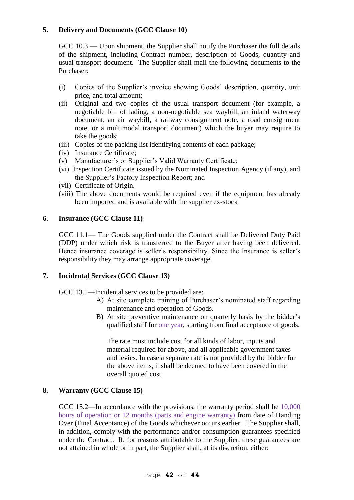# **5. Delivery and Documents (GCC Clause 10)**

GCC 10.3 — Upon shipment, the Supplier shall notify the Purchaser the full details of the shipment, including Contract number, description of Goods, quantity and usual transport document. The Supplier shall mail the following documents to the Purchaser:

- (i) Copies of the Supplier's invoice showing Goods' description, quantity, unit price, and total amount;
- (ii) Original and two copies of the usual transport document (for example, a negotiable bill of lading, a non-negotiable sea waybill, an inland waterway document, an air waybill, a railway consignment note, a road consignment note, or a multimodal transport document) which the buyer may require to take the goods;
- (iii) Copies of the packing list identifying contents of each package;
- (iv) Insurance Certificate;
- (v) Manufacturer's or Supplier's Valid Warranty Certificate;
- (vi) Inspection Certificate issued by the Nominated Inspection Agency (if any), and the Supplier's Factory Inspection Report; and
- (vii) Certificate of Origin.
- (viii) The above documents would be required even if the equipment has already been imported and is available with the supplier ex-stock

## **6. Insurance (GCC Clause 11)**

GCC 11.1— The Goods supplied under the Contract shall be Delivered Duty Paid (DDP) under which risk is transferred to the Buyer after having been delivered. Hence insurance coverage is seller's responsibility. Since the Insurance is seller's responsibility they may arrange appropriate coverage.

## **7. Incidental Services (GCC Clause 13)**

GCC 13.1—Incidental services to be provided are:

- A) At site complete training of Purchaser's nominated staff regarding maintenance and operation of Goods.
- B) At site preventive maintenance on quarterly basis by the bidder's qualified staff for one year, starting from final acceptance of goods.

The rate must include cost for all kinds of labor, inputs and material required for above, and all applicable government taxes and levies. In case a separate rate is not provided by the bidder for the above items, it shall be deemed to have been covered in the overall quoted cost.

## **8. Warranty (GCC Clause 15)**

GCC 15.2—In accordance with the provisions, the warranty period shall be 10,000 hours of operation or 12 months (parts and engine warranty) from date of Handing Over (Final Acceptance) of the Goods whichever occurs earlier. The Supplier shall, in addition, comply with the performance and/or consumption guarantees specified under the Contract. If, for reasons attributable to the Supplier, these guarantees are not attained in whole or in part, the Supplier shall, at its discretion, either: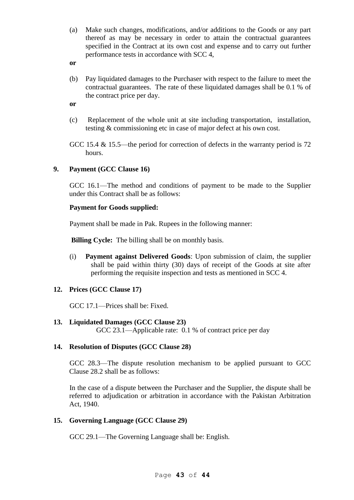- (a) Make such changes, modifications, and/or additions to the Goods or any part thereof as may be necessary in order to attain the contractual guarantees specified in the Contract at its own cost and expense and to carry out further performance tests in accordance with SCC 4,
- **or**
- (b) Pay liquidated damages to the Purchaser with respect to the failure to meet the contractual guarantees. The rate of these liquidated damages shall be 0.1 % of the contract price per day.
- **or**
- (c) Replacement of the whole unit at site including transportation, installation, testing & commissioning etc in case of major defect at his own cost.
- GCC 15.4 & 15.5—the period for correction of defects in the warranty period is 72 hours.

# **9. Payment (GCC Clause 16)**

GCC 16.1—The method and conditions of payment to be made to the Supplier under this Contract shall be as follows:

## **Payment for Goods supplied:**

Payment shall be made in Pak. Rupees in the following manner:

**Billing Cycle:** The billing shall be on monthly basis.

(i) **Payment against Delivered Goods**: Upon submission of claim, the supplier shall be paid within thirty (30) days of receipt of the Goods at site after performing the requisite inspection and tests as mentioned in SCC 4.

# **12. Prices (GCC Clause 17)**

GCC 17.1—Prices shall be: Fixed.

**13. Liquidated Damages (GCC Clause 23)** GCC 23.1—Applicable rate: 0.1 % of contract price per day

# **14. Resolution of Disputes (GCC Clause 28)**

GCC 28.3—The dispute resolution mechanism to be applied pursuant to GCC Clause 28.2 shall be as follows:

In the case of a dispute between the Purchaser and the Supplier, the dispute shall be referred to adjudication or arbitration in accordance with the Pakistan Arbitration Act, 1940.

# **15. Governing Language (GCC Clause 29)**

GCC 29.1—The Governing Language shall be: English.